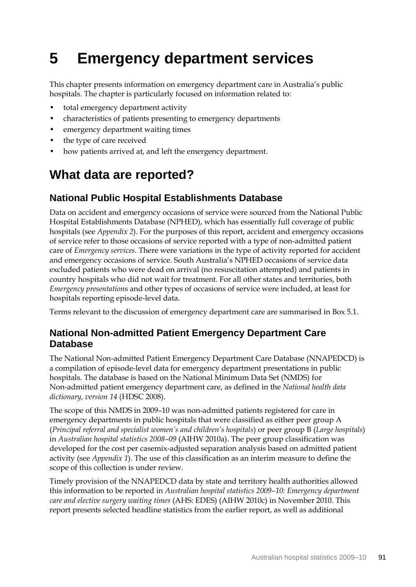# **5 Emergency department services**

This chapter presents information on emergency department care in Australia's public hospitals. The chapter is particularly focused on information related to:

- total emergency department activity
- characteristics of patients presenting to emergency departments
- emergency department waiting times
- the type of care received
- how patients arrived at, and left the emergency department.

# **What data are reported?**

# **National Public Hospital Establishments Database**

Data on accident and emergency occasions of service were sourced from the National Public Hospital Establishments Database (NPHED), which has essentially full coverage of public hospitals (see *Appendix 2*). For the purposes of this report, accident and emergency occasions of service refer to those occasions of service reported with a type of non-admitted patient care of *Emergency services*. There were variations in the type of activity reported for accident and emergency occasions of service. South Australia's NPHED occasions of service data excluded patients who were dead on arrival (no resuscitation attempted) and patients in country hospitals who did not wait for treatment. For all other states and territories, both *Emergency presentation*s and other types of occasions of service were included, at least for hospitals reporting episode-level data.

Terms relevant to the discussion of emergency department care are summarised in Box 5.1.

# **National Non-admitted Patient Emergency Department Care Database**

The National Non-admitted Patient Emergency Department Care Database (NNAPEDCD) is a compilation of episode-level data for emergency department presentations in public hospitals. The database is based on the National Minimum Data Set (NMDS) for Non-admitted patient emergency department care, as defined in the *National health data dictionary, version 14* (HDSC 2008).

The scope of this NMDS in 2009–10 was non-admitted patients registered for care in emergency departments in public hospitals that were classified as either peer group A (*Principal referral and specialist women's and children's hospitals*) or peer group B (*Large hospitals*) in *Australian hospital statistics 2008–09* (AIHW 2010a). The peer group classification was developed for the cost per casemix-adjusted separation analysis based on admitted patient activity (see *Appendix 1*). The use of this classification as an interim measure to define the scope of this collection is under review.

Timely provision of the NNAPEDCD data by state and territory health authorities allowed this information to be reported in *Australian hospital statistics 2009–10: Emergency department care and elective surgery waiting times* (AHS: EDES) (AIHW 2010c) in November 2010. This report presents selected headline statistics from the earlier report, as well as additional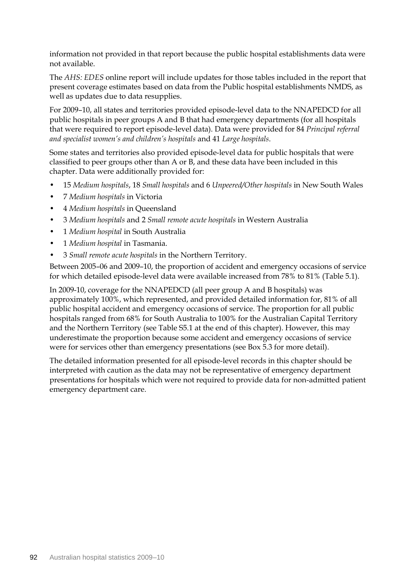information not provided in that report because the public hospital establishments data were not available.

The *AHS: EDES* online report will include updates for those tables included in the report that present coverage estimates based on data from the Public hospital establishments NMDS, as well as updates due to data resupplies.

For 2009–10, all states and territories provided episode-level data to the NNAPEDCD for all public hospitals in peer groups A and B that had emergency departments (for all hospitals that were required to report episode-level data). Data were provided for 84 *Principal referral and specialist women's and children's hospitals* and 41 *Large hospitals*.

Some states and territories also provided episode-level data for public hospitals that were classified to peer groups other than A or B, and these data have been included in this chapter. Data were additionally provided for:

- 15 *Medium hospitals*, 18 *Small hospitals* and 6 *Unpeered/Other hospitals* in New South Wales
- 7 *Medium hospitals* in Victoria
- 4 *Medium hospitals* in Queensland
- 3 *Medium hospitals* and 2 *Small remote acute hospitals* in Western Australia
- 1 *Medium hospital* in South Australia
- 1 *Medium hospital* in Tasmania.
- 3 *Small remote acute hospitals* in the Northern Territory.

Between 2005–06 and 2009–10, the proportion of accident and emergency occasions of service for which detailed episode-level data were available increased from 78% to 81% (Table 5.1).

In 2009-10, coverage for the NNAPEDCD (all peer group A and B hospitals) was approximately 100%, which represented, and provided detailed information for, 81% of all public hospital accident and emergency occasions of service. The proportion for all public hospitals ranged from 68% for South Australia to 100% for the Australian Capital Territory and the Northern Territory (see Table S5.1 at the end of this chapter). However, this may underestimate the proportion because some accident and emergency occasions of service were for services other than emergency presentations (see Box 5.3 for more detail).

The detailed information presented for all episode-level records in this chapter should be interpreted with caution as the data may not be representative of emergency department presentations for hospitals which were not required to provide data for non-admitted patient emergency department care.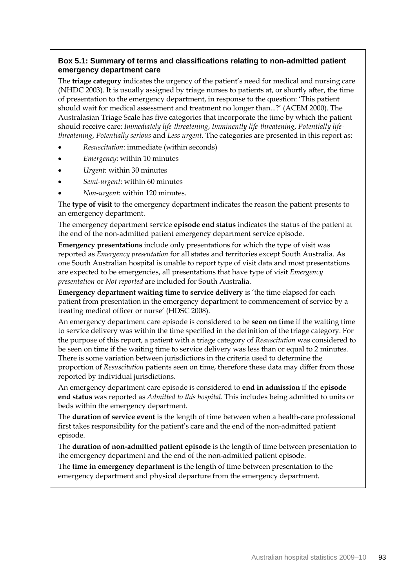### **Box 5.1: Summary of terms and classifications relating to non-admitted patient emergency department care**

The **triage category** indicates the urgency of the patient's need for medical and nursing care (NHDC 2003). It is usually assigned by triage nurses to patients at, or shortly after, the time of presentation to the emergency department, in response to the question: 'This patient should wait for medical assessment and treatment no longer than...?' (ACEM 2000). The Australasian Triage Scale has five categories that incorporate the time by which the patient should receive care: *Immediately life-threatening*, *Imminently life-threatening*, *Potentially lifethreatening*, *Potentially serious* and *Less urgent*. The categories are presented in this report as:

- *Resuscitation*: immediate (within seconds)
- *Emergency*: within 10 minutes
- *Urgent*: within 30 minutes
- *Semi-urgent*: within 60 minutes
- *Non-urgent*: within 120 minutes.

The **type of visit** to the emergency department indicates the reason the patient presents to an emergency department.

The emergency department service **episode end status** indicates the status of the patient at the end of the non-admitted patient emergency department service episode.

**Emergency presentations** include only presentations for which the type of visit was reported as *Emergency presentation* for all states and territories except South Australia. As one South Australian hospital is unable to report type of visit data and most presentations are expected to be emergencies, all presentations that have type of visit *Emergency presentation* or *Not reported* are included for South Australia.

**Emergency department waiting time to service delivery** is 'the time elapsed for each patient from presentation in the emergency department to commencement of service by a treating medical officer or nurse' (HDSC 2008).

An emergency department care episode is considered to be **seen on time** if the waiting time to service delivery was within the time specified in the definition of the triage category. For the purpose of this report, a patient with a triage category of *Resuscitation* was considered to be seen on time if the waiting time to service delivery was less than or equal to 2 minutes. There is some variation between jurisdictions in the criteria used to determine the proportion of *Resuscitation* patients seen on time, therefore these data may differ from those reported by individual jurisdictions.

An emergency department care episode is considered to **end in admission** if the **episode end status** was reported as *Admitted to this hospital*. This includes being admitted to units or beds within the emergency department.

The **duration of service event** is the length of time between when a health-care professional first takes responsibility for the patient's care and the end of the non-admitted patient episode.

The **duration of non-admitted patient episode** is the length of time between presentation to the emergency department and the end of the non-admitted patient episode.

The **time in emergency department** is the length of time between presentation to the emergency department and physical departure from the emergency department.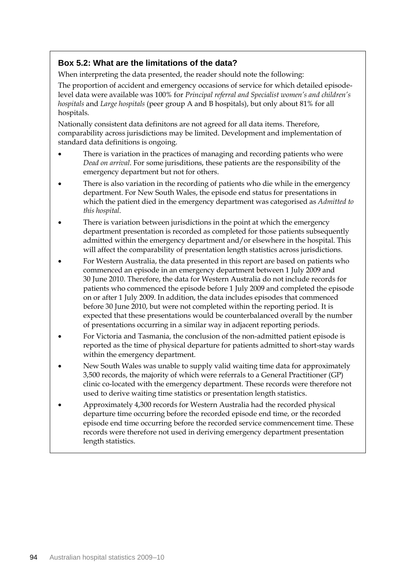## **Box 5.2: What are the limitations of the data?**

When interpreting the data presented, the reader should note the following:

The proportion of accident and emergency occasions of service for which detailed episodelevel data were available was 100% for *Principal referral and Specialist women's and children's hospitals* and *Large hospitals* (peer group A and B hospitals), but only about 81% for all hospitals.

Nationally consistent data definitons are not agreed for all data items. Therefore, comparability across jurisdictions may be limited. Development and implementation of standard data definitions is ongoing.

- There is variation in the practices of managing and recording patients who were *Dead on arrival*. For some jurisditions, these patients are the responsibility of the emergency department but not for others.
- There is also variation in the recording of patients who die while in the emergency department. For New South Wales, the episode end status for presentations in which the patient died in the emergency department was categorised as *Admitted to this hospital*.
- There is variation between jurisdictions in the point at which the emergency department presentation is recorded as completed for those patients subsequently admitted within the emergency department and/or elsewhere in the hospital. This will affect the comparability of presentation length statistics across jurisdictions.
- For Western Australia, the data presented in this report are based on patients who commenced an episode in an emergency department between 1 July 2009 and 30 June 2010. Therefore, the data for Western Australia do not include records for patients who commenced the episode before 1 July 2009 and completed the episode on or after 1 July 2009. In addition, the data includes episodes that commenced before 30 June 2010, but were not completed within the reporting period. It is expected that these presentations would be counterbalanced overall by the number of presentations occurring in a similar way in adjacent reporting periods.
- For Victoria and Tasmania, the conclusion of the non-admitted patient episode is reported as the time of physical departure for patients admitted to short-stay wards within the emergency department.
- New South Wales was unable to supply valid waiting time data for approximately 3,500 records, the majority of which were referrals to a General Practitioner (GP) clinic co-located with the emergency department. These records were therefore not used to derive waiting time statistics or presentation length statistics.
- Approximately 4,300 records for Western Australia had the recorded physical departure time occurring before the recorded episode end time, or the recorded episode end time occurring before the recorded service commencement time. These records were therefore not used in deriving emergency department presentation length statistics.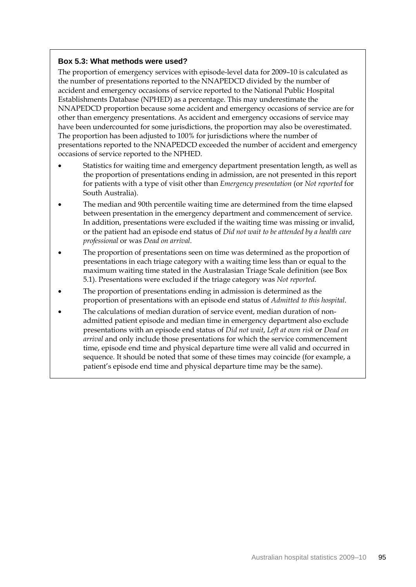### **Box 5.3: What methods were used?**

The proportion of emergency services with episode-level data for 2009–10 is calculated as the number of presentations reported to the NNAPEDCD divided by the number of accident and emergency occasions of service reported to the National Public Hospital Establishments Database (NPHED) as a percentage. This may underestimate the NNAPEDCD proportion because some accident and emergency occasions of service are for other than emergency presentations. As accident and emergency occasions of service may have been undercounted for some jurisdictions, the proportion may also be overestimated. The proportion has been adjusted to 100% for jurisdictions where the number of presentations reported to the NNAPEDCD exceeded the number of accident and emergency occasions of service reported to the NPHED.

- Statistics for waiting time and emergency department presentation length, as well as the proportion of presentations ending in admission, are not presented in this report for patients with a type of visit other than *Emergency presentation* (or *Not reported* for South Australia).
- The median and 90th percentile waiting time are determined from the time elapsed between presentation in the emergency department and commencement of service. In addition, presentations were excluded if the waiting time was missing or invalid, or the patient had an episode end status of *Did not wait to be attended by a health care professional* or was *Dead on arrival*.
- The proportion of presentations seen on time was determined as the proportion of presentations in each triage category with a waiting time less than or equal to the maximum waiting time stated in the Australasian Triage Scale definition (see Box 5.1). Presentations were excluded if the triage category was *Not reported*.
- The proportion of presentations ending in admission is determined as the proportion of presentations with an episode end status of *Admitted to this hospital*.
- The calculations of median duration of service event, median duration of nonadmitted patient episode and median time in emergency department also exclude presentations with an episode end status of *Did not wait*, *Left at own risk* or *Dead on arrival* and only include those presentations for which the service commencement time, episode end time and physical departure time were all valid and occurred in sequence. It should be noted that some of these times may coincide (for example, a patient's episode end time and physical departure time may be the same).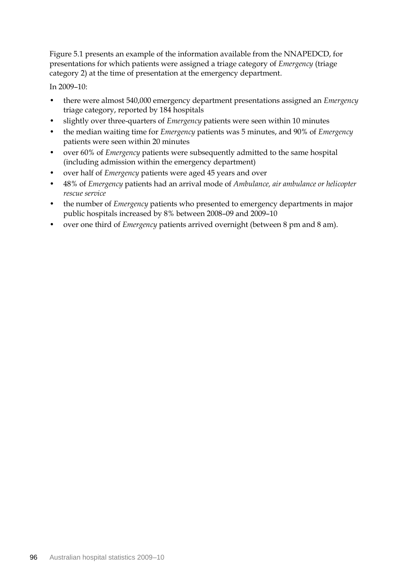Figure 5.1 presents an example of the information available from the NNAPEDCD, for presentations for which patients were assigned a triage category of *Emergency* (triage category 2) at the time of presentation at the emergency department.

In 2009–10:

- there were almost 540,000 emergency department presentations assigned an *Emergency* triage category, reported by 184 hospitals
- slightly over three-quarters of *Emergency* patients were seen within 10 minutes
- the median waiting time for *Emergency* patients was 5 minutes, and 90% of *Emergency* patients were seen within 20 minutes
- over 60% of *Emergency* patients were subsequently admitted to the same hospital (including admission within the emergency department)
- over half of *Emergency* patients were aged 45 years and over
- 48% of *Emergency* patients had an arrival mode of *Ambulance, air ambulance or helicopter rescue service*
- the number of *Emergency* patients who presented to emergency departments in major public hospitals increased by 8% between 2008–09 and 2009–10
- over one third of *Emergency* patients arrived overnight (between 8 pm and 8 am).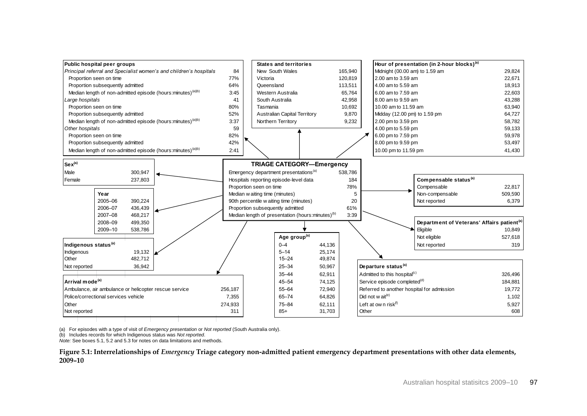

(a) For episodes with a type of visit of *Emergency presentation* or *Not reported* (South Australia only).

(b) Includes records for which Indigenous status was *Not reported*.

*Note:* See boxes 5.1, 5.2 and 5.3 for notes on data limitations and methods.

**Figure 5.1: Interrelationships of** *Emergency* **Triage category non-admitted patient emergency department presentations with other data elements, 2009–10**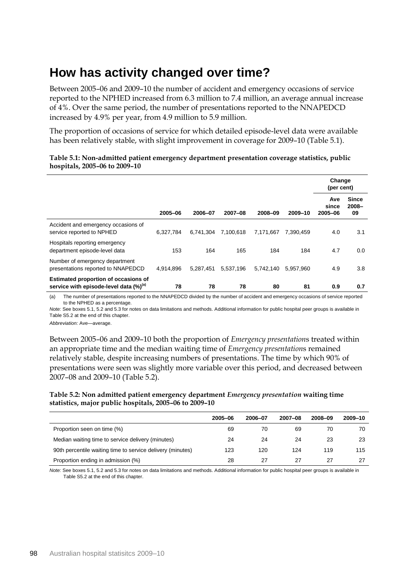# **How has activity changed over time?**

Between 2005–06 and 2009–10 the number of accident and emergency occasions of service reported to the NPHED increased from 6.3 million to 7.4 million, an average annual increase of 4%. Over the same period, the number of presentations reported to the NNAPEDCD increased by 4.9% per year, from 4.9 million to 5.9 million.

The proportion of occasions of service for which detailed episode-level data were available has been relatively stable, with slight improvement in coverage for 2009–10 (Table 5.1).

|                                                                                             |           |           |           |           |           | Change<br>(per cent)    |                                |
|---------------------------------------------------------------------------------------------|-----------|-----------|-----------|-----------|-----------|-------------------------|--------------------------------|
|                                                                                             | 2005-06   | 2006-07   | 2007-08   | 2008-09   | 2009-10   | Ave<br>since<br>2005-06 | <b>Since</b><br>$2008 -$<br>09 |
| Accident and emergency occasions of<br>service reported to NPHED                            | 6,327,784 | 6,741,304 | 7,100,618 | 7,171,667 | 7.390.459 | 4.0                     | 3.1                            |
| Hospitals reporting emergency<br>department episode-level data                              | 153       | 164       | 165       | 184       | 184       | 4.7                     | 0.0                            |
| Number of emergency department<br>presentations reported to NNAPEDCD                        | 4.914.896 | 5,287,451 | 5,537,196 | 5.742.140 | 5,957,960 | 4.9                     | 3.8                            |
| <b>Estimated proportion of occasions of</b><br>service with episode-level data $(\%)^{(a)}$ | 78        | 78        | 78        | 80        | 81        | 0.9                     | 0.7                            |

#### **Table 5.1: Non-admitted patient emergency department presentation coverage statistics, public hospitals, 2005–06 to 2009–10**

(a) The number of presentations reported to the NNAPEDCD divided by the number of accident and emergency occasions of service reported to the NPHED as a percentage.

*Note:* See boxes 5.1, 5.2 and 5.3 for notes on data limitations and methods. Additional information for public hospital peer groups is available in Table S5.2 at the end of this chapter.

*Abbreviation:* Ave—average.

Between 2005–06 and 2009–10 both the proportion of *Emergency presentation*s treated within an appropriate time and the median waiting time of *Emergency presentation*s remained relatively stable, despite increasing numbers of presentations. The time by which 90% of presentations were seen was slightly more variable over this period, and decreased between 2007–08 and 2009–10 (Table 5.2).

#### **Table 5.2: Non admitted patient emergency department** *Emergency presentation* **waiting time statistics, major public hospitals, 2005–06 to 2009–10**

|                                                            | 2005-06 | 2006-07 | $2007 - 08$ | 2008-09 | 2009-10 |
|------------------------------------------------------------|---------|---------|-------------|---------|---------|
| Proportion seen on time (%)                                | 69      | 70      | 69          | 70      | 70      |
| Median waiting time to service delivery (minutes)          | 24      | 24      | 24          | 23      | 23      |
| 90th percentile waiting time to service delivery (minutes) | 123     | 120     | 124         | 119     | 115     |
| Proportion ending in admission (%)                         | 28      | 27      | 27          | 27      | 27      |

*Note:* See boxes 5.1, 5.2 and 5.3 for notes on data limitations and methods. Additional information for public hospital peer groups is available in Table S5.2 at the end of this chapter.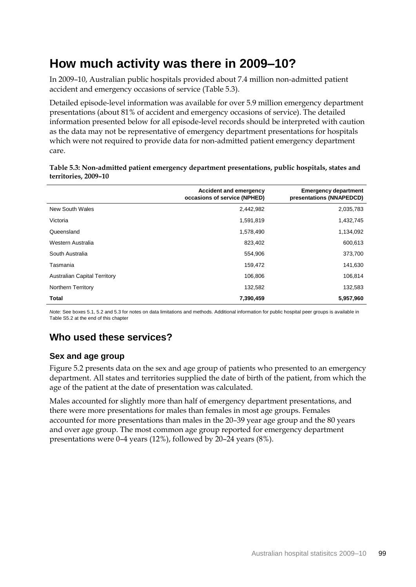# **How much activity was there in 2009–10?**

In 2009–10, Australian public hospitals provided about 7.4 million non-admitted patient accident and emergency occasions of service (Table 5.3).

Detailed episode-level information was available for over 5.9 million emergency department presentations (about 81% of accident and emergency occasions of service). The detailed information presented below for all episode-level records should be interpreted with caution as the data may not be representative of emergency department presentations for hospitals which were not required to provide data for non-admitted patient emergency department care.

|                                     | <b>Accident and emergency</b><br>occasions of service (NPHED) | <b>Emergency department</b><br>presentations (NNAPEDCD) |
|-------------------------------------|---------------------------------------------------------------|---------------------------------------------------------|
| New South Wales                     | 2,442,982                                                     | 2,035,783                                               |
| Victoria                            | 1,591,819                                                     | 1,432,745                                               |
| Queensland                          | 1,578,490                                                     | 1,134,092                                               |
| Western Australia                   | 823,402                                                       | 600,613                                                 |
| South Australia                     | 554,906                                                       | 373,700                                                 |
| Tasmania                            | 159,472                                                       | 141,630                                                 |
| <b>Australian Capital Territory</b> | 106,806                                                       | 106,814                                                 |
| Northern Territory                  | 132,582                                                       | 132,583                                                 |
| <b>Total</b>                        | 7,390,459                                                     | 5,957,960                                               |

**Table 5.3: Non-admitted patient emergency department presentations, public hospitals, states and territories, 2009–10**

*Note:* See boxes 5.1, 5.2 and 5.3 for notes on data limitations and methods. Additional information for public hospital peer groups is available in Table S5.2 at the end of this chapter

# **Who used these services?**

## **Sex and age group**

Figure 5.2 presents data on the sex and age group of patients who presented to an emergency department. All states and territories supplied the date of birth of the patient, from which the age of the patient at the date of presentation was calculated.

Males accounted for slightly more than half of emergency department presentations, and there were more presentations for males than females in most age groups. Females accounted for more presentations than males in the 20–39 year age group and the 80 years and over age group. The most common age group reported for emergency department presentations were 0–4 years (12%), followed by 20–24 years (8%).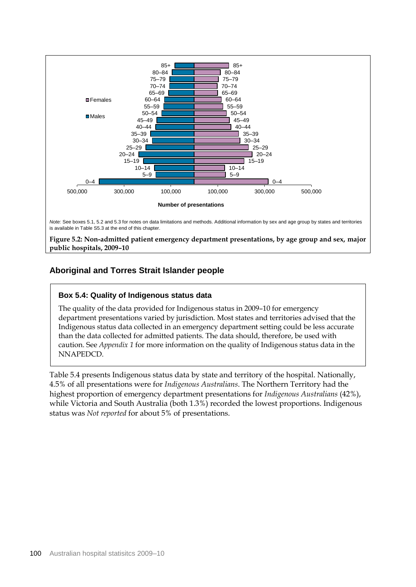

**public hospitals, 2009–10**

# **Aboriginal and Torres Strait Islander people**

### **Box 5.4: Quality of Indigenous status data**

The quality of the data provided for Indigenous status in 2009–10 for emergency department presentations varied by jurisdiction. Most states and territories advised that the Indigenous status data collected in an emergency department setting could be less accurate than the data collected for admitted patients. The data should, therefore, be used with caution. See *Appendix 1* for more information on the quality of Indigenous status data in the NNAPEDCD.

Table 5.4 presents Indigenous status data by state and territory of the hospital. Nationally, 4.5% of all presentations were for *Indigenous Australians*. The Northern Territory had the highest proportion of emergency department presentations for *Indigenous Australians* (42%), while Victoria and South Australia (both 1.3%) recorded the lowest proportions. Indigenous status was *Not reported* for about 5% of presentations.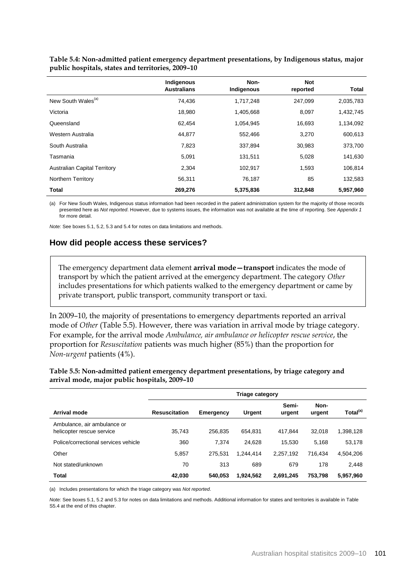|                                     | Indigenous<br><b>Australians</b> | Non-<br>Indigenous | <b>Not</b><br>reported | Total     |
|-------------------------------------|----------------------------------|--------------------|------------------------|-----------|
| New South Wales <sup>(a)</sup>      | 74.436                           | 1,717,248          | 247,099                | 2,035,783 |
| Victoria                            | 18,980                           | 1,405,668          | 8,097                  | 1,432,745 |
| Queensland                          | 62,454                           | 1,054,945          | 16,693                 | 1,134,092 |
| Western Australia                   | 44,877                           | 552,466            | 3,270                  | 600,613   |
| South Australia                     | 7,823                            | 337.894            | 30,983                 | 373,700   |
| Tasmania                            | 5,091                            | 131,511            | 5,028                  | 141,630   |
| <b>Australian Capital Territory</b> | 2,304                            | 102,917            | 1,593                  | 106,814   |
| Northern Territory                  | 56,311                           | 76,187             | 85                     | 132,583   |
| Total                               | 269,276                          | 5,375,836          | 312,848                | 5,957,960 |

**Table 5.4: Non-admitted patient emergency department presentations, by Indigenous status, major public hospitals, states and territories, 2009–10**

(a) For New South Wales, Indigenous status information had been recorded in the patient administration system for the majority of those records presented here as *Not reported*. However, due to systems issues, the information was not available at the time of reporting. See *Appendix 1* for more detail.

*Note:* See boxes 5.1, 5.2, 5.3 and 5.4 for notes on data limitations and methods.

# **How did people access these services?**

The emergency department data element **arrival mode—transport** indicates the mode of transport by which the patient arrived at the emergency department. The category *Other* includes presentations for which patients walked to the emergency department or came by private transport, public transport, community transport or taxi.

In 2009–10, the majority of presentations to emergency departments reported an arrival mode of *Other* (Table 5.5). However, there was variation in arrival mode by triage category. For example, for the arrival mode *Ambulance, air ambulance or helicopter rescue service*, the proportion for *Resuscitation* patients was much higher (85%) than the proportion for *Non-urgent* patients (4%).

#### **Table 5.5: Non-admitted patient emergency department presentations, by triage category and arrival mode, major public hospitals, 2009–10**

|                                                          | <b>Triage category</b> |                  |           |                 |                |                      |  |
|----------------------------------------------------------|------------------------|------------------|-----------|-----------------|----------------|----------------------|--|
| Arrival mode                                             | <b>Resuscitation</b>   | <b>Emergency</b> | Urgent    | Semi-<br>urgent | Non-<br>urgent | Total <sup>(a)</sup> |  |
| Ambulance, air ambulance or<br>helicopter rescue service | 35.743                 | 256.835          | 654.831   | 417.844         | 32.018         | 1,398,128            |  |
| Police/correctional services vehicle                     | 360                    | 7.374            | 24.628    | 15.530          | 5.168          | 53.178               |  |
| Other                                                    | 5,857                  | 275.531          | 1.244.414 | 2.257.192       | 716.434        | 4,504,206            |  |
| Not stated/unknown                                       | 70                     | 313              | 689       | 679             | 178            | 2.448                |  |
| Total                                                    | 42,030                 | 540,053          | 1.924.562 | 2,691,245       | 753,798        | 5,957,960            |  |

(a) Includes presentations for which the triage category was *Not reported*.

*Note:* See boxes 5.1, 5.2 and 5.3 for notes on data limitations and methods. Additional information for states and territories is available in Table S5.4 at the end of this chapter.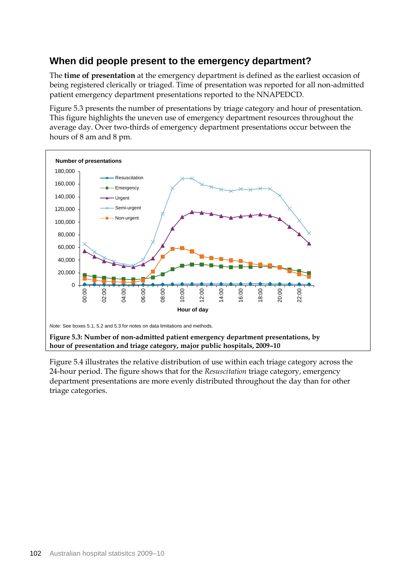# **When did people present to the emergency department?**

The **time of presentation** at the emergency department is defined as the earliest occasion of being registered clerically or triaged. Time of presentation was reported for all non-admitted patient emergency department presentations reported to the NNAPEDCD.

Figure 5.3 presents the number of presentations by triage category and hour of presentation. This figure highlights the uneven use of emergency department resources throughout the average day. Over two-thirds of emergency department presentations occur between the hours of 8 am and 8 pm.



Figure 5.4 illustrates the relative distribution of use within each triage category across the 24-hour period. The figure shows that for the *Resuscitation* triage category, emergency department presentations are more evenly distributed throughout the day than for other triage categories.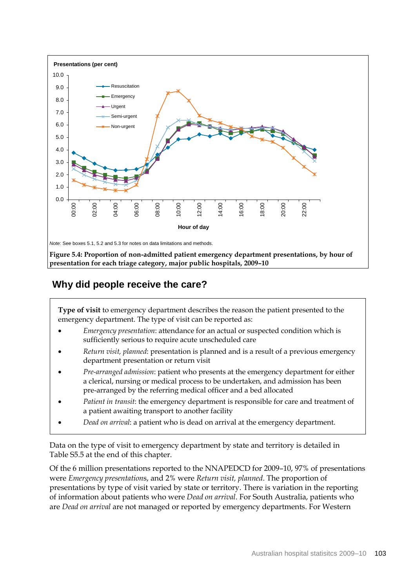

# **Why did people receive the care?**

**Type of visit** to emergency department describes the reason the patient presented to the emergency department. The type of visit can be reported as:

- *Emergency presentation*: attendance for an actual or suspected condition which is sufficiently serious to require acute unscheduled care
- *Return visit, planned*: presentation is planned and is a result of a previous emergency department presentation or return visit
- *Pre-arranged admission*: patient who presents at the emergency department for either a clerical, nursing or medical process to be undertaken, and admission has been pre-arranged by the referring medical officer and a bed allocated
- *Patient in transit*: the emergency department is responsible for care and treatment of a patient awaiting transport to another facility
- *Dead on arrival*: a patient who is dead on arrival at the emergency department.

Data on the type of visit to emergency department by state and territory is detailed in Table S5.5 at the end of this chapter.

Of the 6 million presentations reported to the NNAPEDCD for 2009–10, 97% of presentations were *Emergency presentation*s, and 2% were *Return visit, planned*. The proportion of presentations by type of visit varied by state or territory. There is variation in the reporting of information about patients who were *Dead on arrival*. For South Australia, patients who are *Dead on arrival* are not managed or reported by emergency departments. For Western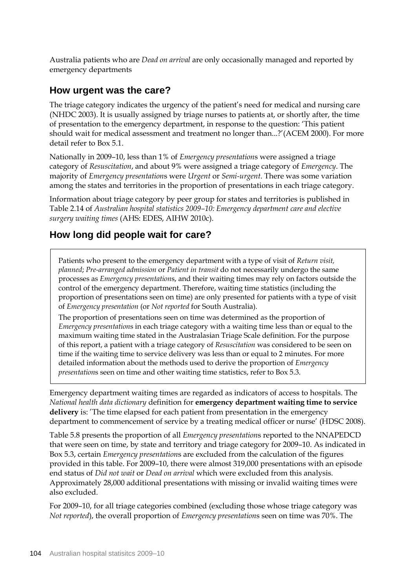Australia patients who are *Dead on arrival* are only occasionally managed and reported by emergency departments

## **How urgent was the care?**

The triage category indicates the urgency of the patient's need for medical and nursing care (NHDC 2003). It is usually assigned by triage nurses to patients at, or shortly after, the time of presentation to the emergency department, in response to the question: 'This patient should wait for medical assessment and treatment no longer than...?'(ACEM 2000). For more detail refer to Box 5.1.

Nationally in 2009–10, less than 1% of *Emergency presentation*s were assigned a triage category of *Resuscitation*, and about 9% were assigned a triage category of *Emergency*. The majority of *Emergency presentation*s were *Urgent* or *Semi-urgent*. There was some variation among the states and territories in the proportion of presentations in each triage category.

Information about triage category by peer group for states and territories is published in Table 2.14 of *Australian hospital statistics 2009–10: Emergency department care and elective surgery waiting times* (AHS: EDES, AIHW 2010c).

# **How long did people wait for care?**

Patients who present to the emergency department with a type of visit of *Return visit, planned*; *Pre-arranged admission* or *Patient in transit* do not necessarily undergo the same processes as *Emergency presentation*s, and their waiting times may rely on factors outside the control of the emergency department. Therefore, waiting time statistics (including the proportion of presentations seen on time) are only presented for patients with a type of visit of *Emergency presentation* (or *Not reported* for South Australia).

The proportion of presentations seen on time was determined as the proportion of *Emergency presentation*s in each triage category with a waiting time less than or equal to the maximum waiting time stated in the Australasian Triage Scale definition. For the purpose of this report, a patient with a triage category of *Resuscitation* was considered to be seen on time if the waiting time to service delivery was less than or equal to 2 minutes. For more detailed information about the methods used to derive the proportion of *Emergency presentation*s seen on time and other waiting time statistics, refer to Box 5.3.

Emergency department waiting times are regarded as indicators of access to hospitals. The *National health data dictionary* definition for **emergency department waiting time to service delivery** is: 'The time elapsed for each patient from presentation in the emergency department to commencement of service by a treating medical officer or nurse' (HDSC 2008).

Table 5.8 presents the proportion of all *Emergency presentation*s reported to the NNAPEDCD that were seen on time, by state and territory and triage category for 2009–10. As indicated in Box 5.3, certain *Emergency presentation*s are excluded from the calculation of the figures provided in this table. For 2009–10, there were almost 319,000 presentations with an episode end status of *Did not wait* or *Dead on arrival* which were excluded from this analysis. Approximately 28,000 additional presentations with missing or invalid waiting times were also excluded.

For 2009–10, for all triage categories combined (excluding those whose triage category was *Not reported*), the overall proportion of *Emergency presentation*s seen on time was 70%. The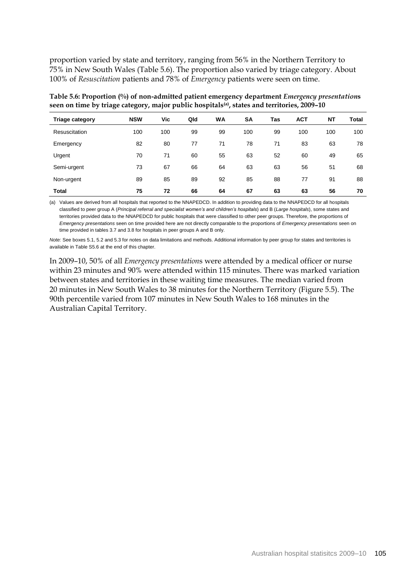proportion varied by state and territory, ranging from 56% in the Northern Territory to 75% in New South Wales (Table 5.6). The proportion also varied by triage category. About 100% of *Resuscitation* patients and 78% of *Emergency* patients were seen on time.

| Table 5.6: Proportion (%) of non-admitted patient emergency department <i>Emergency presentations</i>    |
|----------------------------------------------------------------------------------------------------------|
| seen on time by triage category, major public hospitals <sup>(a)</sup> , states and territories, 2009-10 |

| <b>Triage category</b> | <b>NSW</b> | Vic | Qld | <b>WA</b> | <b>SA</b> | <b>Tas</b> | <b>ACT</b> | <b>NT</b> | Total |
|------------------------|------------|-----|-----|-----------|-----------|------------|------------|-----------|-------|
| Resuscitation          | 100        | 100 | 99  | 99        | 100       | 99         | 100        | 100       | 100   |
| Emergency              | 82         | 80  | 77  | 71        | 78        | 71         | 83         | 63        | 78    |
| Urgent                 | 70         | 71  | 60  | 55        | 63        | 52         | 60         | 49        | 65    |
| Semi-urgent            | 73         | 67  | 66  | 64        | 63        | 63         | 56         | 51        | 68    |
| Non-urgent             | 89         | 85  | 89  | 92        | 85        | 88         | 77         | 91        | 88    |
| <b>Total</b>           | 75         | 72  | 66  | 64        | 67        | 63         | 63         | 56        | 70    |

(a) Values are derived from all hospitals that reported to the NNAPEDCD. In addition to providing data to the NNAPEDCD for all hospitals classified to peer group A (*Principal referral and specialist women's and children's hospitals*) and B (*Large hospitals*), some states and territories provided data to the NNAPEDCD for public hospitals that were classified to other peer groups. Therefore, the proportions of *Emergency presentations* seen on time provided here are not directly comparable to the proportions of *Emergency presentations* seen on time provided in tables 3.7 and 3.8 for hospitals in peer groups A and B only.

*Note:* See boxes 5.1, 5.2 and 5.3 for notes on data limitations and methods. Additional information by peer group for states and territories is available in Table S5.6 at the end of this chapter.

In 2009–10, 50% of all *Emergency presentation*s were attended by a medical officer or nurse within 23 minutes and 90% were attended within 115 minutes. There was marked variation between states and territories in these waiting time measures. The median varied from 20 minutes in New South Wales to 38 minutes for the Northern Territory (Figure 5.5). The 90th percentile varied from 107 minutes in New South Wales to 168 minutes in the Australian Capital Territory.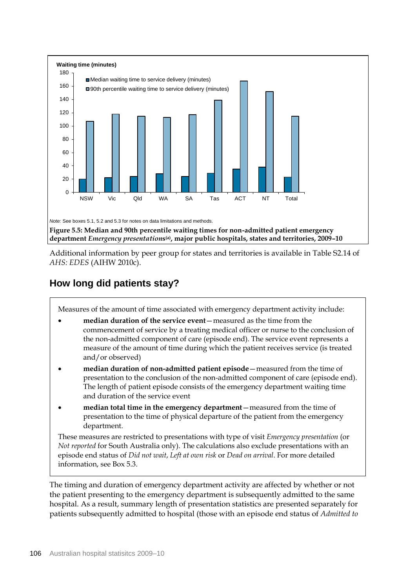

Additional information by peer group for states and territories is available in Table S2.14 of *AHS: EDES* (AIHW 2010c).

# **How long did patients stay?**

Measures of the amount of time associated with emergency department activity include:

- **median duration of the service event**—measured as the time from the commencement of service by a treating medical officer or nurse to the conclusion of the non-admitted component of care (episode end). The service event represents a measure of the amount of time during which the patient receives service (is treated and/or observed)
- **median duration of non-admitted patient episode**—measured from the time of presentation to the conclusion of the non-admitted component of care (episode end). The length of patient episode consists of the emergency department waiting time and duration of the service event
- **median total time in the emergency department**—measured from the time of presentation to the time of physical departure of the patient from the emergency department.

These measures are restricted to presentations with type of visit *Emergency presentation* (or *Not reported* for South Australia only). The calculations also exclude presentations with an episode end status of *Did not wait*, *Left at own risk* or *Dead on arrival*. For more detailed information, see Box 5.3.

The timing and duration of emergency department activity are affected by whether or not the patient presenting to the emergency department is subsequently admitted to the same hospital. As a result, summary length of presentation statistics are presented separately for patients subsequently admitted to hospital (those with an episode end status of *Admitted to*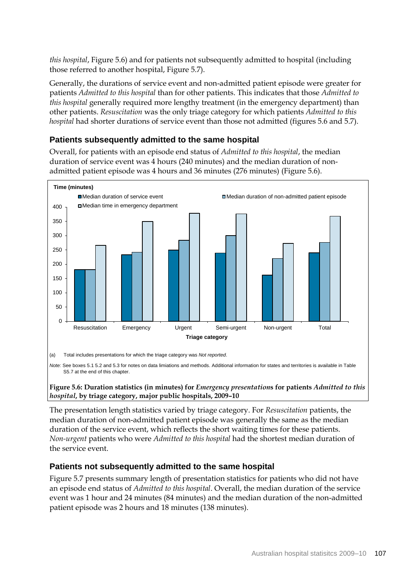*this hospital*, Figure 5.6) and for patients not subsequently admitted to hospital (including those referred to another hospital, Figure 5.7).

Generally, the durations of service event and non-admitted patient episode were greater for patients *Admitted to this hospital* than for other patients. This indicates that those *Admitted to this hospital* generally required more lengthy treatment (in the emergency department) than other patients. *Resuscitation* was the only triage category for which patients *Admitted to this hospital* had shorter durations of service event than those not admitted (figures 5.6 and 5.7).

### **Patients subsequently admitted to the same hospital**

Overall, for patients with an episode end status of *Admitted to this hospital*, the median duration of service event was 4 hours (240 minutes) and the median duration of nonadmitted patient episode was 4 hours and 36 minutes (276 minutes) (Figure 5.6).



(a) Total includes presentations for which the triage category was *Not reported*.

*Note:* See boxes 5.1 5.2 and 5.3 for notes on data limiations and methods. Additional information for states and territories is available in Table S5.7 at the end of this chapter.

#### **Figure 5.6: Duration statistics (in minutes) for** *Emergency presentation***s for patients** *Admitted to this hospital***, by triage category, major public hospitals, 2009–10**

The presentation length statistics varied by triage category. For *Resuscitation* patients, the median duration of non-admitted patient episode was generally the same as the median duration of the service event, which reflects the short waiting times for these patients. *Non-urgent* patients who were *Admitted to this hospital* had the shortest median duration of the service event.

### **Patients not subsequently admitted to the same hospital**

Figure 5.7 presents summary length of presentation statistics for patients who did not have an episode end status of *Admitted to this hospital*. Overall, the median duration of the service event was 1 hour and 24 minutes (84 minutes) and the median duration of the non-admitted patient episode was 2 hours and 18 minutes (138 minutes).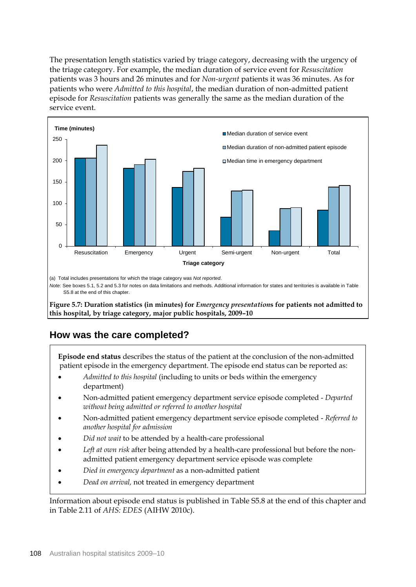The presentation length statistics varied by triage category, decreasing with the urgency of the triage category. For example, the median duration of service event for *Resuscitation* patients was 3 hours and 26 minutes and for *Non-urgent* patients it was 36 minutes. As for patients who were *Admitted to this hospital*, the median duration of non-admitted patient episode for *Resuscitation* patients was generally the same as the median duration of the service event.



*Note:* See boxes 5.1, 5.2 and 5.3 for notes on data limitations and methods. Additional information for states and territories is available in Table S5.8 at the end of this chapter.

**Figure 5.7: Duration statistics (in minutes) for** *Emergency presentation***s for patients not admitted to this hospital, by triage category, major public hospitals, 2009–10**

# **How was the care completed?**

**Episode end status** describes the status of the patient at the conclusion of the non-admitted patient episode in the emergency department. The episode end status can be reported as:

- *Admitted to this hospital* (including to units or beds within the emergency department)
- Non-admitted patient emergency department service episode completed *Departed without being admitted or referred to another hospital*
- Non-admitted patient emergency department service episode completed *Referred to another hospital for admission*
- *Did not wait* to be attended by a health-care professional
- *Left at own risk* after being attended by a health-care professional but before the nonadmitted patient emergency department service episode was complete
- *Died in emergency department* as a non-admitted patient
- *Dead on arrival,* not treated in emergency department

Information about episode end status is published in Table S5.8 at the end of this chapter and in Table 2.11 of *AHS: EDES* (AIHW 2010c).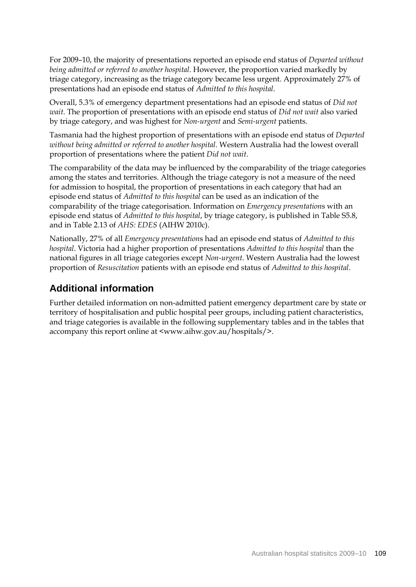For 2009–10, the majority of presentations reported an episode end status of *Departed without being admitted or referred to another hospital*. However, the proportion varied markedly by triage category, increasing as the triage category became less urgent. Approximately 27% of presentations had an episode end status of *Admitted to this hospital*.

Overall, 5.3% of emergency department presentations had an episode end status of *Did not wait*. The proportion of presentations with an episode end status of *Did not wait* also varied by triage category, and was highest for *Non-urgent* and *Semi-urgent* patients.

Tasmania had the highest proportion of presentations with an episode end status of *Departed without being admitted or referred to another hospital.* Western Australia had the lowest overall proportion of presentations where the patient *Did not wait*.

The comparability of the data may be influenced by the comparability of the triage categories among the states and territories. Although the triage category is not a measure of the need for admission to hospital, the proportion of presentations in each category that had an episode end status of *Admitted to this hospital* can be used as an indication of the comparability of the triage categorisation. Information on *Emergency presentation*s with an episode end status of *Admitted to this hospital*, by triage category, is published in Table S5.8, and in Table 2.13 of *AHS: EDES* (AIHW 2010c).

Nationally, 27% of all *Emergency presentation*s had an episode end status of *Admitted to this hospital*. Victoria had a higher proportion of presentations *Admitted to this hospital* than the national figures in all triage categories except *Non-urgent*. Western Australia had the lowest proportion of *Resuscitation* patients with an episode end status of *Admitted to this hospital*.

# **Additional information**

Further detailed information on non-admitted patient emergency department care by state or territory of hospitalisation and public hospital peer groups, including patient characteristics, and triage categories is available in the following supplementary tables and in the tables that accompany this report online at <www.aihw.gov.au/hospitals/>.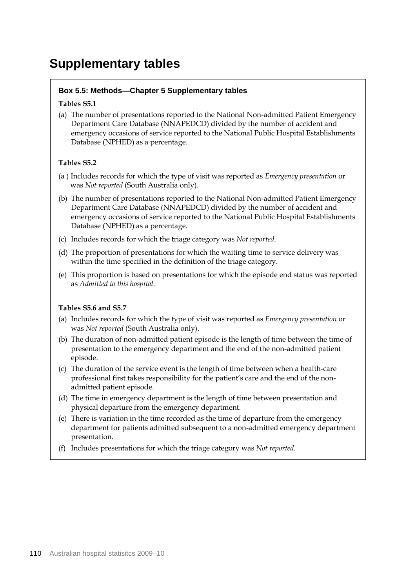# **Supplementary tables**

### **Box 5.5: Methods—Chapter 5 Supplementary tables**

#### **Tables S5.1**

(a) The number of presentations reported to the National Non-admitted Patient Emergency Department Care Database (NNAPEDCD) divided by the number of accident and emergency occasions of service reported to the National Public Hospital Establishments Database (NPHED) as a percentage.

#### **Tables S5.2**

- (a ) Includes records for which the type of visit was reported as *Emergency presentation* or was *Not reported* (South Australia only).
- (b) The number of presentations reported to the National Non-admitted Patient Emergency Department Care Database (NNAPEDCD) divided by the number of accident and emergency occasions of service reported to the National Public Hospital Establishments Database (NPHED) as a percentage.
- (c) Includes records for which the triage category was *Not reported*.
- (d) The proportion of presentations for which the waiting time to service delivery was within the time specified in the definition of the triage category.
- (e) This proportion is based on presentations for which the episode end status was reported as *Admitted to this hospital*.

#### **Tables S5.6 and S5.7**

- (a) Includes records for which the type of visit was reported as *Emergency presentation* or was *Not reported* (South Australia only).
- (b) The duration of non-admitted patient episode is the length of time between the time of presentation to the emergency department and the end of the non-admitted patient episode.
- (c) The duration of the service event is the length of time between when a health-care professional first takes responsibility for the patient's care and the end of the nonadmitted patient episode.
- (d) The time in emergency department is the length of time between presentation and physical departure from the emergency department.
- (e) There is variation in the time recorded as the time of departure from the emergency department for patients admitted subsequent to a non-admitted emergency department presentation.
- (f) Includes presentations for which the triage category was *Not reported*.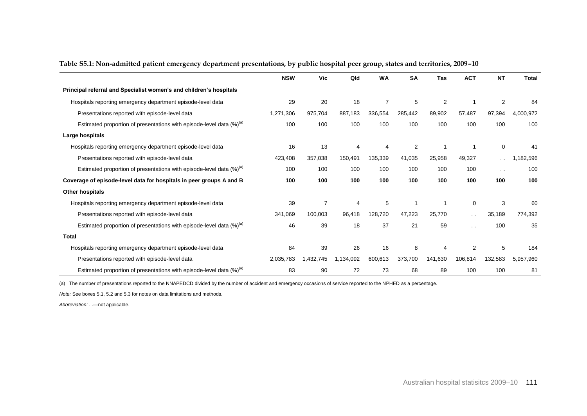|                                                                                  | <b>NSW</b> | <b>Vic</b>     | Qld       | <b>WA</b>      | <b>SA</b> | Tas            | <b>ACT</b>      | <b>NT</b>      | <b>Total</b> |
|----------------------------------------------------------------------------------|------------|----------------|-----------|----------------|-----------|----------------|-----------------|----------------|--------------|
| Principal referral and Specialist women's and children's hospitals               |            |                |           |                |           |                |                 |                |              |
| Hospitals reporting emergency department episode-level data                      | 29         | 20             | 18        | $\overline{7}$ | 5         | $\overline{2}$ |                 | $\overline{2}$ | 84           |
| Presentations reported with episode-level data                                   | 1,271,306  | 975,704        | 887,183   | 336,554        | 285,442   | 89,902         | 57,487          | 97,394         | 4,000,972    |
| Estimated proportion of presentations with episode-level data $(\%)^{(a)}$       | 100        | 100            | 100       | 100            | 100       | 100            | 100             | 100            | 100          |
| Large hospitals                                                                  |            |                |           |                |           |                |                 |                |              |
| Hospitals reporting emergency department episode-level data                      | 16         | 13             | 4         | 4              | 2         |                |                 | $\mathbf 0$    | -41          |
| Presentations reported with episode-level data                                   | 423,408    | 357,038        | 150,491   | 135,339        | 41,035    | 25,958         | 49,327          | $\sim$ $\sim$  | 1,182,596    |
| Estimated proportion of presentations with episode-level data (%) <sup>(a)</sup> | 100        | 100            | 100       | 100            | 100       | 100            | 100             | $\sim$ $\sim$  | 100          |
| Coverage of episode-level data for hospitals in peer groups A and B              | 100        | 100            | 100       | 100            | 100       | 100            | 100             | 100            | 100          |
| Other hospitals                                                                  |            |                |           |                |           |                |                 |                |              |
| Hospitals reporting emergency department episode-level data                      | 39         | $\overline{7}$ | 4         | 5              |           |                | 0               | 3              | 60           |
| Presentations reported with episode-level data                                   | 341,069    | 100,003        | 96,418    | 128,720        | 47,223    | 25.770         | $\sim$ $\sim$   | 35,189         | 774,392      |
| Estimated proportion of presentations with episode-level data (%) <sup>(a)</sup> | 46         | 39             | 18        | 37             | 21        | 59             | $\cdot$ $\cdot$ | 100            | 35           |
| <b>Total</b>                                                                     |            |                |           |                |           |                |                 |                |              |
| Hospitals reporting emergency department episode-level data                      | 84         | 39             | 26        | 16             | 8         | 4              | $\overline{2}$  | 5              | 184          |
| Presentations reported with episode-level data                                   | 2,035,783  | 1,432,745      | 1,134,092 | 600,613        | 373,700   | 141,630        | 106,814         | 132,583        | 5,957,960    |
| Estimated proportion of presentations with episode-level data (%) <sup>(a)</sup> | 83         | 90             | 72        | 73             | 68        | 89             | 100             | 100            | 81           |

#### **Table S5.1: Non-admitted patient emergency department presentations, by public hospital peer group, states and territories, 2009–10**

(a) The number of presentations reported to the NNAPEDCD divided by the number of accident and emergency occasions of service reported to the NPHED as a percentage.

*Note:* See boxes 5.1, 5.2 and 5.3 for notes on data limitations and methods.

*Abbreviation:* . .—not applicable.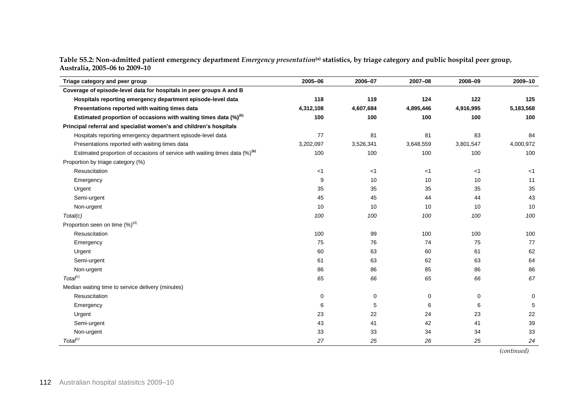**Table S5.2: Non-admitted patient emergency department** *Emergency presentation***(a) statistics, by triage category and public hospital peer group, Australia, 2005–06 to 2009–10**

| Triage category and peer group                                                          | 2005-06   | 2006-07   | 2007-08   | 2008-09     | 2009-10     |
|-----------------------------------------------------------------------------------------|-----------|-----------|-----------|-------------|-------------|
| Coverage of episode-level data for hospitals in peer groups A and B                     |           |           |           |             |             |
| Hospitals reporting emergency department episode-level data                             | 118       | 119       | 124       | 122         | 125         |
| Presentations reported with waiting times data                                          | 4,312,108 | 4,607,684 | 4,895,446 | 4,916,995   | 5,183,568   |
| Estimated proportion of occasions with waiting times data (%) <sup>(b)</sup>            | 100       | 100       | 100       | 100         | 100         |
| Principal referral and specialist women's and children's hospitals                      |           |           |           |             |             |
| Hospitals reporting emergency department episode-level data                             | 77        | 81        | 81        | 83          | 84          |
| Presentations reported with waiting times data                                          | 3,202,097 | 3,526,341 | 3,648,559 | 3,801,547   | 4,000,972   |
| Estimated proportion of occasions of service with waiting times data (%) <sup>(b)</sup> | 100       | 100       | 100       | 100         | 100         |
| Proportion by triage category (%)                                                       |           |           |           |             |             |
| Resuscitation                                                                           | $<$ 1     | $<$ 1     | $<$ 1     | $<$ 1       | $<$ 1       |
| Emergency                                                                               | 9         | 10        | 10        | 10          | 11          |
| Urgent                                                                                  | 35        | 35        | 35        | 35          | 35          |
| Semi-urgent                                                                             | 45        | 45        | 44        | 44          | 43          |
| Non-urgent                                                                              | 10        | 10        | 10        | 10          | 10          |
| Total(c)                                                                                | 100       | 100       | 100       | 100         | 100         |
| Proportion seen on time $(\%)^{(d)}$                                                    |           |           |           |             |             |
| Resuscitation                                                                           | 100       | 99        | 100       | 100         | 100         |
| Emergency                                                                               | 75        | 76        | 74        | 75          | 77          |
| Urgent                                                                                  | 60        | 63        | 60        | 61          | 62          |
| Semi-urgent                                                                             | 61        | 63        | 62        | 63          | 64          |
| Non-urgent                                                                              | 86        | 86        | 85        | 86          | 86          |
| Total <sup>(c)</sup>                                                                    | 65        | 66        | 65        | 66          | 67          |
| Median waiting time to service delivery (minutes)                                       |           |           |           |             |             |
| Resuscitation                                                                           | 0         | 0         | 0         | $\mathbf 0$ | $\mathbf 0$ |
| Emergency                                                                               | 6         | 5         | 6         | 6           | 5           |
| Urgent                                                                                  | 23        | 22        | 24        | 23          | 22          |
| Semi-urgent                                                                             | 43        | 41        | 42        | 41          | 39          |
| Non-urgent                                                                              | 33        | 33        | 34        | 34          | 33          |
| Total <sup>(c)</sup>                                                                    | 27        | 25        | 26        | 25          | 24          |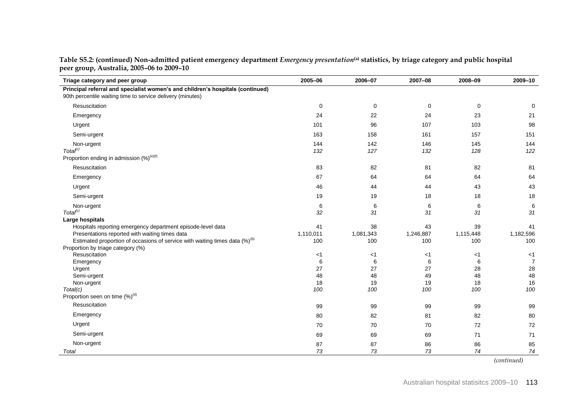| Triage category and peer group                                                                                                                                                                     | 2005-06                | 2006-07                | 2007-08                | 2008-09                | 2009-10                  |
|----------------------------------------------------------------------------------------------------------------------------------------------------------------------------------------------------|------------------------|------------------------|------------------------|------------------------|--------------------------|
| Principal referral and specialist women's and children's hospitals (continued)<br>90th percentile waiting time to service delivery (minutes)                                                       |                        |                        |                        |                        |                          |
| Resuscitation                                                                                                                                                                                      | $\mathbf 0$            | 0                      | $\mathbf 0$            | 0                      | 0                        |
| Emergency                                                                                                                                                                                          | 24                     | 22                     | 24                     | 23                     | 21                       |
| Urgent                                                                                                                                                                                             | 101                    | 96                     | 107                    | 103                    | 98                       |
| Semi-urgent                                                                                                                                                                                        | 163                    | 158                    | 161                    | 157                    | 151                      |
| Non-urgent<br>Total <sup>(c)</sup><br>Proportion ending in admission $(\%)^{(e)(f)}$                                                                                                               | 144<br>132             | 142<br>127             | 146<br>132             | 145<br>128             | 144<br>122               |
| Resuscitation                                                                                                                                                                                      | 83                     | 82                     | 81                     | 82                     | 81                       |
| Emergency                                                                                                                                                                                          | 67                     | 64                     | 64                     | 64                     | 64                       |
| Urgent                                                                                                                                                                                             | 46                     | 44                     | 44                     | 43                     | 43                       |
| Semi-urgent                                                                                                                                                                                        | 19                     | 19                     | 18                     | 18                     | 18                       |
| Non-urgent<br>Total <sup>(c)</sup>                                                                                                                                                                 | 6<br>32                | 6<br>31                | 6<br>31                | 6<br>31                | 6<br>31                  |
| Large hospitals                                                                                                                                                                                    |                        |                        |                        |                        |                          |
| Hospitals reporting emergency department episode-level data<br>Presentations reported with waiting times data<br>Estimated proportion of occasions of service with waiting times data $(\%)^{(b)}$ | 41<br>1,110,011<br>100 | 38<br>1,081,343<br>100 | 43<br>1,246,887<br>100 | 39<br>1,115,448<br>100 | 41<br>1,182,596<br>100   |
| Proportion by triage category (%)                                                                                                                                                                  |                        |                        |                        |                        |                          |
| Resuscitation                                                                                                                                                                                      | $<$ 1                  | $<$ 1                  | $<$ 1                  | $<$ 1                  | $<$ 1                    |
| Emergency<br>Urgent                                                                                                                                                                                | 6<br>27                | 6<br>27                | 6<br>27                | 6<br>28                | $\overline{7}$<br>$28\,$ |
| Semi-urgent                                                                                                                                                                                        | 48                     | 48                     | 49                     | 48                     | 48                       |
| Non-urgent                                                                                                                                                                                         | 18                     | 19                     | 19                     | 18                     | 16                       |
| Total(c)<br>Proportion seen on time $(\%)^{(d)}$                                                                                                                                                   | 100                    | 100                    | 100                    | 100                    | 100                      |
| Resuscitation                                                                                                                                                                                      | 99                     | 99                     | 99                     | 99                     | 99                       |
| Emergency                                                                                                                                                                                          | 80                     | 82                     | 81                     | 82                     | 80                       |
| Urgent                                                                                                                                                                                             | 70                     | 70                     | 70                     | 72                     | 72                       |
| Semi-urgent                                                                                                                                                                                        | 69                     | 69                     | 69                     | 71                     | 71                       |
| Non-urgent<br>Total                                                                                                                                                                                | 87<br>73               | 87<br>73               | 86<br>73               | 86<br>74               | 85<br>74                 |

**Table S5.2: (continued) Non-admitted patient emergency department** *Emergency presentation***(a) statistics, by triage category and public hospital peer group, Australia, 2005–06 to 2009–10**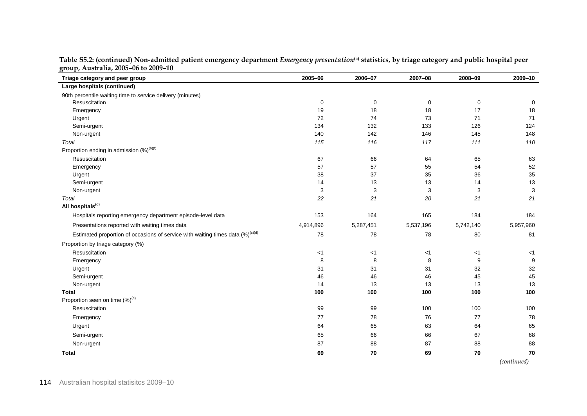| Triage category and peer group                                                             | 2005-06   | 2006-07   | 2007-08   | 2008-09   | 2009-10      |
|--------------------------------------------------------------------------------------------|-----------|-----------|-----------|-----------|--------------|
| Large hospitals (continued)                                                                |           |           |           |           |              |
| 90th percentile waiting time to service delivery (minutes)                                 |           |           |           |           |              |
| Resuscitation                                                                              | 0         | 0         | 0         | 0         | 0            |
| Emergency                                                                                  | 19        | 18        | 18        | 17        | 18           |
| Urgent                                                                                     | 72        | 74        | 73        | 71        | 71           |
| Semi-urgent                                                                                | 134       | 132       | 133       | 126       | 124          |
| Non-urgent                                                                                 | 140       | 142       | 146       | 145       | 148          |
| Total                                                                                      | 115       | 116       | 117       | 111       | 110          |
| Proportion ending in admission (%) <sup>(b)(f)</sup>                                       |           |           |           |           |              |
| Resuscitation                                                                              | 67        | 66        | 64        | 65        | 63           |
| Emergency                                                                                  | 57        | 57        | 55        | 54        | 52           |
| Urgent                                                                                     | 38        | 37        | 35        | 36        | $35\,$       |
| Semi-urgent                                                                                | 14        | 13        | 13        | 14        | 13           |
| Non-urgent                                                                                 | 3         | 3         | 3         | 3         | $\mathbf{3}$ |
| Total                                                                                      | 22        | 21        | 20        | 21        | 21           |
| All hospitals <sup>(g)</sup>                                                               |           |           |           |           |              |
| Hospitals reporting emergency department episode-level data                                | 153       | 164       | 165       | 184       | 184          |
| Presentations reported with waiting times data                                             | 4,914,896 | 5,287,451 | 5,537,196 | 5,742,140 | 5,957,960    |
| Estimated proportion of occasions of service with waiting times data (%) <sup>(c)(d)</sup> | 78        | 78        | 78        | 80        | 81           |
| Proportion by triage category (%)                                                          |           |           |           |           |              |
| Resuscitation                                                                              | $<$ 1     | $<$ 1     | $<$ 1     | $<$ 1     | $<$ 1        |
| Emergency                                                                                  | 8         | 8         | 8         | 9         | 9            |
| Urgent                                                                                     | 31        | 31        | 31        | 32        | $32\,$       |
| Semi-urgent                                                                                | 46        | 46        | 46        | 45        | 45           |
| Non-urgent                                                                                 | 14        | 13        | 13        | 13        | 13           |
| <b>Total</b>                                                                               | 100       | 100       | 100       | 100       | 100          |
| Proportion seen on time (%) <sup>(e)</sup>                                                 |           |           |           |           |              |
| Resuscitation                                                                              | 99        | 99        | 100       | 100       | 100          |
| Emergency                                                                                  | 77        | 78        | 76        | 77        | 78           |
| Urgent                                                                                     | 64        | 65        | 63        | 64        | 65           |
| Semi-urgent                                                                                | 65        | 66        | 66        | 67        | 68           |
| Non-urgent                                                                                 | 87        | 88        | 87        | 88        | 88           |
| Total                                                                                      | 69        | 70        | 69        | 70        | 70           |

| Table S5.2: (continued) Non-admitted patient emergency department <i>Emergency presentation</i> <sup>(a)</sup> statistics, by triage category and public hospital peer |  |  |
|------------------------------------------------------------------------------------------------------------------------------------------------------------------------|--|--|
| group, Australia, 2005-06 to 2009-10                                                                                                                                   |  |  |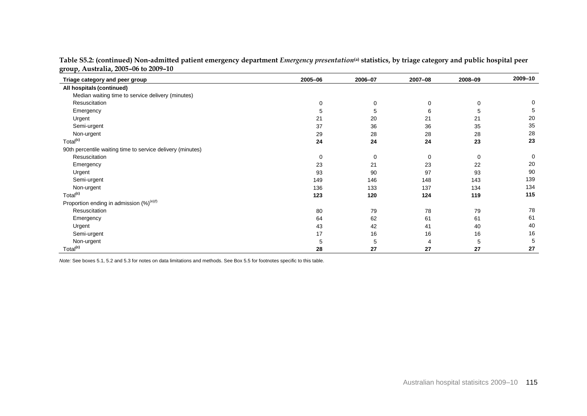| Triage category and peer group                             | 2005-06     | 2006-07     | 2007-08     | 2008-09 | 2009-10     |
|------------------------------------------------------------|-------------|-------------|-------------|---------|-------------|
| All hospitals (continued)                                  |             |             |             |         |             |
| Median waiting time to service delivery (minutes)          |             |             |             |         |             |
| Resuscitation                                              | $\mathbf 0$ | 0           | $\mathbf 0$ | 0       | 0           |
| Emergency                                                  | 5           | 5           | 6           | 5       | 5           |
| Urgent                                                     | 21          | 20          | 21          | 21      | 20          |
| Semi-urgent                                                | 37          | 36          | 36          | 35      | 35          |
| Non-urgent                                                 | 29          | 28          | 28          | 28      | 28          |
| Total <sup>(c)</sup>                                       | 24          | 24          | 24          | 23      | 23          |
| 90th percentile waiting time to service delivery (minutes) |             |             |             |         |             |
| Resuscitation                                              | 0           | $\mathbf 0$ | $\mathbf 0$ | 0       | $\mathbf 0$ |
| Emergency                                                  | 23          | 21          | 23          | 22      | 20          |
| Urgent                                                     | 93          | 90          | 97          | 93      | 90          |
| Semi-urgent                                                | 149         | 146         | 148         | 143     | 139         |
| Non-urgent                                                 | 136         | 133         | 137         | 134     | 134         |
| Total <sup>(c)</sup>                                       | 123         | 120         | 124         | 119     | 115         |
| Proportion ending in admission (%) <sup>(e)(f)</sup>       |             |             |             |         |             |
| Resuscitation                                              | 80          | 79          | 78          | 79      | 78          |
| Emergency                                                  | 64          | 62          | 61          | 61      | 61          |
| Urgent                                                     | 43          | 42          | 41          | 40      | 40          |
| Semi-urgent                                                | 17          | 16          | 16          | 16      | 16          |
| Non-urgent                                                 | 5           | 5           | 4           | 5       | 5           |
| Total <sup>(c)</sup>                                       | 28          | 27          | 27          | 27      | 27          |

**Table S5.2: (continued) Non-admitted patient emergency department** *Emergency presentation***(a) statistics, by triage category and public hospital peer group, Australia, 2005–06 to 2009–10**

*Note:* See boxes 5.1, 5.2 and 5.3 for notes on data limitations and methods. See Box 5.5 for footnotes specific to this table.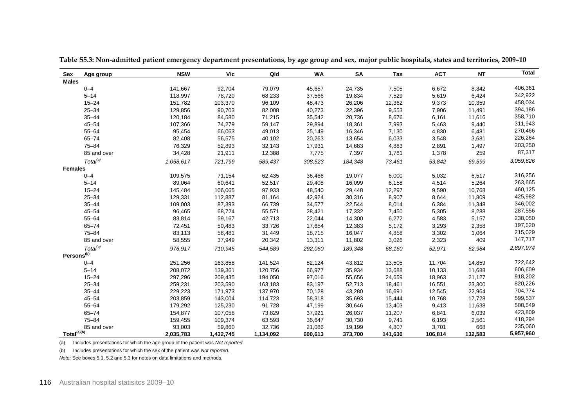| Sex                     | Age group            | <b>NSW</b> | <b>Vic</b> | Qld       | WA      | <b>SA</b> | Tas     | <b>ACT</b> | <b>NT</b> | <b>Total</b> |
|-------------------------|----------------------|------------|------------|-----------|---------|-----------|---------|------------|-----------|--------------|
| <b>Males</b>            |                      |            |            |           |         |           |         |            |           |              |
|                         | $0 - 4$              | 141,667    | 92,704     | 79,079    | 45,657  | 24,735    | 7,505   | 6,672      | 8,342     | 406,361      |
|                         | $5 - 14$             | 118,997    | 78,720     | 68,233    | 37,566  | 19,834    | 7,529   | 5,619      | 6,424     | 342,922      |
|                         | $15 - 24$            | 151,782    | 103,370    | 96,109    | 48,473  | 26,206    | 12,362  | 9,373      | 10,359    | 458,034      |
|                         | $25 - 34$            | 129,856    | 90,703     | 82,008    | 40,273  | 22,396    | 9,553   | 7,906      | 11,491    | 394,186      |
|                         | $35 - 44$            | 120,184    | 84,580     | 71,215    | 35,542  | 20,736    | 8,676   | 6,161      | 11,616    | 358,710      |
|                         | $45 - 54$            | 107,366    | 74,279     | 59,147    | 29,894  | 18,361    | 7,993   | 5,463      | 9,440     | 311,943      |
|                         | $55 - 64$            | 95,454     | 66,063     | 49,013    | 25,149  | 16,346    | 7,130   | 4,830      | 6,481     | 270,466      |
|                         | $65 - 74$            | 82,408     | 56,575     | 40,102    | 20,263  | 13,654    | 6,033   | 3,548      | 3,681     | 226,264      |
|                         | $75 - 84$            | 76,329     | 52,893     | 32,143    | 17,931  | 14,683    | 4,883   | 2,891      | 1,497     | 203,250      |
|                         | 85 and over          | 34,428     | 21,911     | 12,388    | 7,775   | 7,397     | 1,781   | 1,378      | 259       | 87,317       |
|                         | Total <sup>(a)</sup> | 1,058,617  | 721,799    | 589,437   | 308,523 | 184,348   | 73,461  | 53,842     | 69,599    | 3,059,626    |
| <b>Females</b>          |                      |            |            |           |         |           |         |            |           |              |
|                         | $0 - 4$              | 109,575    | 71,154     | 62,435    | 36,466  | 19,077    | 6,000   | 5,032      | 6,517     | 316,256      |
|                         | $5 - 14$             | 89,064     | 60,641     | 52,517    | 29,408  | 16,099    | 6,158   | 4,514      | 5,264     | 263,665      |
|                         | $15 - 24$            | 145,484    | 106,065    | 97,933    | 48,540  | 29,448    | 12,297  | 9,590      | 10,768    | 460,125      |
|                         | $25 - 34$            | 129,331    | 112,887    | 81,164    | 42,924  | 30,316    | 8,907   | 8,644      | 11,809    | 425,982      |
|                         | $35 - 44$            | 109,003    | 87,393     | 66,739    | 34,577  | 22,544    | 8,014   | 6,384      | 11,348    | 346,002      |
|                         | $45 - 54$            | 96,465     | 68,724     | 55,571    | 28,421  | 17,332    | 7,450   | 5,305      | 8,288     | 287,556      |
|                         | $55 - 64$            | 83,814     | 59,167     | 42,713    | 22,044  | 14,300    | 6,272   | 4,583      | 5,157     | 238,050      |
|                         | $65 - 74$            | 72,451     | 50,483     | 33,726    | 17,654  | 12,383    | 5,172   | 3,293      | 2,358     | 197,520      |
|                         | $75 - 84$            | 83,113     | 56,481     | 31,449    | 18,715  | 16,047    | 4,858   | 3,302      | 1,064     | 215,029      |
|                         | 85 and over          | 58,555     | 37,949     | 20,342    | 13,311  | 11,802    | 3,026   | 2,323      | 409       | 147,717      |
|                         | Total <sup>(a)</sup> | 976,917    | 710,945    | 544,589   | 292,060 | 189,348   | 68,160  | 52,971     | 62,984    | 2,897,974    |
| Persons <sup>(b)</sup>  |                      |            |            |           |         |           |         |            |           |              |
|                         | $0 - 4$              | 251,256    | 163,858    | 141,524   | 82,124  | 43,812    | 13,505  | 11,704     | 14,859    | 722,642      |
|                         | $5 - 14$             | 208,072    | 139,361    | 120,756   | 66,977  | 35,934    | 13,688  | 10,133     | 11,688    | 606,609      |
|                         | $15 - 24$            | 297,296    | 209,435    | 194,050   | 97,016  | 55,656    | 24,659  | 18,963     | 21,127    | 918,202      |
|                         | $25 - 34$            | 259,231    | 203,590    | 163,183   | 83,197  | 52,713    | 18,461  | 16,551     | 23,300    | 820,226      |
|                         | $35 - 44$            | 229,223    | 171,973    | 137,970   | 70,128  | 43,280    | 16,691  | 12,545     | 22,964    | 704,774      |
|                         | $45 - 54$            | 203,859    | 143,004    | 114,723   | 58,318  | 35,693    | 15,444  | 10,768     | 17,728    | 599,537      |
|                         | $55 - 64$            | 179,292    | 125,230    | 91,728    | 47,199  | 30,646    | 13,403  | 9,413      | 11,638    | 508,549      |
|                         | $65 - 74$            | 154,877    | 107,058    | 73,829    | 37,921  | 26,037    | 11,207  | 6,841      | 6,039     | 423,809      |
|                         | $75 - 84$            | 159,455    | 109,374    | 63,593    | 36,647  | 30,730    | 9,741   | 6,193      | 2,561     | 418,294      |
|                         | 85 and over          | 93,003     | 59,860     | 32,736    | 21,086  | 19,199    | 4,807   | 3,701      | 668       | 235,060      |
| Total <sup>(a)(b)</sup> |                      | 2,035,783  | 1,432,745  | 1,134,092 | 600,613 | 373,700   | 141,630 | 106,814    | 132,583   | 5,957,960    |

**Table S5.3: Non-admitted patient emergency department presentations, by age group and sex, major public hospitals, states and territories, 2009–10**

(a) Includes presentations for which the age group of the patient was *Not reported*.

(b) Includes presentations for which the sex of the patient was *Not reported*.

*Note:* See boxes 5.1, 5.2 and 5.3 for notes on data limitations and methods.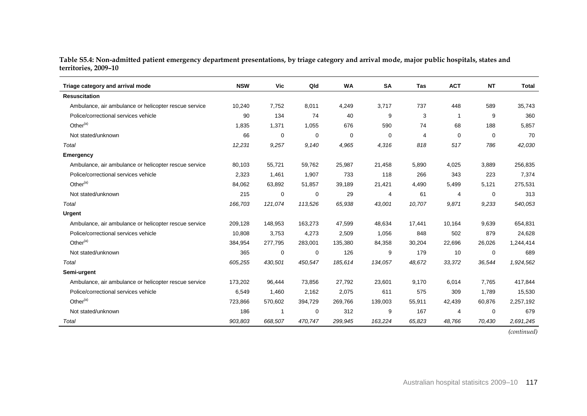| Table S5.4: Non-admitted patient emergency department presentations, by triage category and arrival mode, major public hospitals, states and |  |  |  |
|----------------------------------------------------------------------------------------------------------------------------------------------|--|--|--|
| territories, 2009-10                                                                                                                         |  |  |  |

| Triage category and arrival mode                      | <b>NSW</b> | Vic         | Qld     | <b>WA</b> | <b>SA</b> | Tas    | <b>ACT</b> | <b>NT</b>   | <b>Total</b> |
|-------------------------------------------------------|------------|-------------|---------|-----------|-----------|--------|------------|-------------|--------------|
| <b>Resuscitation</b>                                  |            |             |         |           |           |        |            |             |              |
| Ambulance, air ambulance or helicopter rescue service | 10,240     | 7,752       | 8,011   | 4,249     | 3,717     | 737    | 448        | 589         | 35,743       |
| Police/correctional services vehicle                  | 90         | 134         | 74      | 40        | 9         | 3      | 1          | 9           | 360          |
| Other $(a)$                                           | 1,835      | 1,371       | 1,055   | 676       | 590       | 74     | 68         | 188         | 5,857        |
| Not stated/unknown                                    | 66         | 0           | 0       | 0         | 0         | 4      | 0          | $\Omega$    | 70           |
| Total                                                 | 12,231     | 9,257       | 9,140   | 4,965     | 4,316     | 818    | 517        | 786         | 42,030       |
| <b>Emergency</b>                                      |            |             |         |           |           |        |            |             |              |
| Ambulance, air ambulance or helicopter rescue service | 80,103     | 55,721      | 59,762  | 25,987    | 21,458    | 5,890  | 4,025      | 3,889       | 256,835      |
| Police/correctional services vehicle                  | 2,323      | 1,461       | 1,907   | 733       | 118       | 266    | 343        | 223         | 7,374        |
| Other $(a)$                                           | 84,062     | 63,892      | 51,857  | 39,189    | 21,421    | 4,490  | 5,499      | 5,121       | 275,531      |
| Not stated/unknown                                    | 215        | $\mathbf 0$ | 0       | 29        | 4         | 61     | 4          | 0           | 313          |
| Total                                                 | 166,703    | 121,074     | 113,526 | 65,938    | 43,001    | 10,707 | 9,871      | 9,233       | 540,053      |
| Urgent                                                |            |             |         |           |           |        |            |             |              |
| Ambulance, air ambulance or helicopter rescue service | 209.128    | 148,953     | 163,273 | 47,599    | 48,634    | 17.441 | 10,164     | 9.639       | 654,831      |
| Police/correctional services vehicle                  | 10.808     | 3,753       | 4,273   | 2,509     | 1,056     | 848    | 502        | 879         | 24,628       |
| Other <sup>(a)</sup>                                  | 384,954    | 277,795     | 283,001 | 135,380   | 84,358    | 30,204 | 22,696     | 26,026      | 1,244,414    |
| Not stated/unknown                                    | 365        | 0           | 0       | 126       | 9         | 179    | 10         | $\mathbf 0$ | 689          |
| Total                                                 | 605,255    | 430,501     | 450,547 | 185,614   | 134,057   | 48,672 | 33,372     | 36,544      | 1,924,562    |
| Semi-urgent                                           |            |             |         |           |           |        |            |             |              |
| Ambulance, air ambulance or helicopter rescue service | 173,202    | 96,444      | 73,856  | 27,792    | 23,601    | 9,170  | 6,014      | 7.765       | 417,844      |
| Police/correctional services vehicle                  | 6,549      | 1,460       | 2,162   | 2,075     | 611       | 575    | 309        | 1,789       | 15,530       |
| Other $(a)$                                           | 723,866    | 570,602     | 394,729 | 269,766   | 139,003   | 55,911 | 42,439     | 60,876      | 2,257,192    |
| Not stated/unknown                                    | 186        | -1          | 0       | 312       | 9         | 167    | 4          | 0           | 679          |
| Total                                                 | 903,803    | 668,507     | 470,747 | 299,945   | 163,224   | 65,823 | 48,766     | 70,430      | 2,691,245    |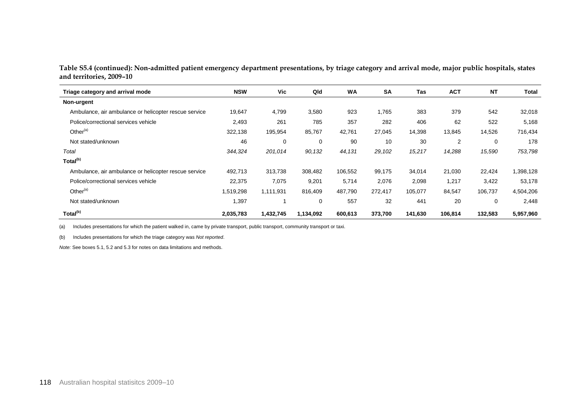**Table S5.4 (continued): Non-admitted patient emergency department presentations, by triage category and arrival mode, major public hospitals, states and territories, 2009–10**

| Triage category and arrival mode                      | <b>NSW</b> | Vic         | Qld       | <b>WA</b> | <b>SA</b> | <b>Tas</b> | <b>ACT</b> | <b>NT</b> | <b>Total</b> |
|-------------------------------------------------------|------------|-------------|-----------|-----------|-----------|------------|------------|-----------|--------------|
| Non-urgent                                            |            |             |           |           |           |            |            |           |              |
| Ambulance, air ambulance or helicopter rescue service | 19,647     | 4,799       | 3,580     | 923       | 1,765     | 383        | 379        | 542       | 32,018       |
| Police/correctional services vehicle                  | 2,493      | 261         | 785       | 357       | 282       | 406        | 62         | 522       | 5,168        |
| Other $(a)$                                           | 322,138    | 195,954     | 85,767    | 42,761    | 27,045    | 14,398     | 13,845     | 14,526    | 716,434      |
| Not stated/unknown                                    | 46         | $\mathbf 0$ | 0         | 90        | 10        | 30         | 2          | 0         | 178          |
| Total                                                 | 344,324    | 201,014     | 90,132    | 44,131    | 29,102    | 15,217     | 14,288     | 15,590    | 753,798      |
| Total <sup>(b)</sup>                                  |            |             |           |           |           |            |            |           |              |
| Ambulance, air ambulance or helicopter rescue service | 492,713    | 313,738     | 308,482   | 106,552   | 99,175    | 34,014     | 21,030     | 22,424    | 1,398,128    |
| Police/correctional services vehicle                  | 22,375     | 7,075       | 9,201     | 5,714     | 2,076     | 2,098      | 1,217      | 3,422     | 53,178       |
| Other $(a)$                                           | 1,519,298  | 1,111,931   | 816,409   | 487,790   | 272,417   | 105,077    | 84,547     | 106,737   | 4,504,206    |
| Not stated/unknown                                    | 1,397      |             | 0         | 557       | 32        | 441        | 20         | 0         | 2,448        |
| Total <sup>(b)</sup>                                  | 2,035,783  | 1,432,745   | 1,134,092 | 600,613   | 373,700   | 141,630    | 106,814    | 132,583   | 5,957,960    |

(a) Includes presentations for which the patient walked in, came by private transport, public transport, community transport or taxi.

(b) Includes presentations for which the triage category was *Not reported*.

*Note:* See boxes 5.1, 5.2 and 5.3 for notes on data limitations and methods.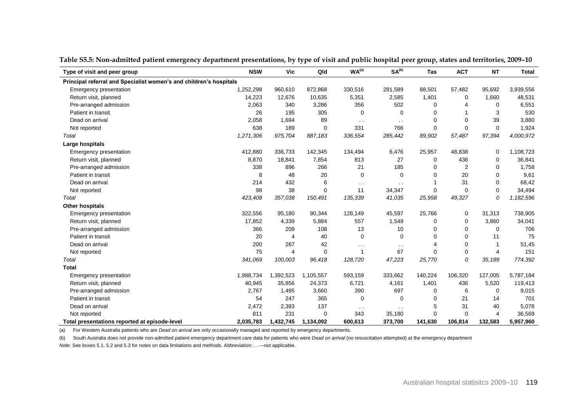| Type of visit and peer group                                       | <b>NSW</b> | <b>Vic</b>     | Qld         | WA <sup>(a)</sup> | SA <sup>(b)</sup>    | Tas      | <b>ACT</b>  | <b>NT</b>      | <b>Total</b> |
|--------------------------------------------------------------------|------------|----------------|-------------|-------------------|----------------------|----------|-------------|----------------|--------------|
| Principal referral and Specialist women's and children's hospitals |            |                |             |                   |                      |          |             |                |              |
| <b>Emergency presentation</b>                                      | 1,252,298  | 960,610        | 872,868     | 330,516           | 281,589              | 88,501   | 57,482      | 95,692         | 3,939,556    |
| Return visit, planned                                              | 14,223     | 12,676         | 10,635      | 5,351             | 2,585                | 1,401    | 0           | 1,660          | 48,531       |
| Pre-arranged admission                                             | 2,063      | 340            | 3,286       | 356               | 502                  | 0        |             | 0              | 6,551        |
| Patient in transit                                                 | 26         | 195            | 305         | 0                 | 0                    | 0        |             | 3              | 530          |
| Dead on arrival                                                    | 2,058      | 1,694          | 89          | $\sim$ $\sim$     | $\ddot{\phantom{a}}$ | $\Omega$ | $\Omega$    | 39             | 3,880        |
| Not reported                                                       | 638        | 189            | $\mathbf 0$ | 331               | 766                  | $\Omega$ | 0           | 0              | 1,924        |
| Total                                                              | 1,271,306  | 975,704        | 887,183     | 336,554           | 285,442              | 89,902   | 57,487      | 97,394         | 4,000,972    |
| Large hospitals                                                    |            |                |             |                   |                      |          |             |                |              |
| <b>Emergency presentation</b>                                      | 412,880    | 336,733        | 142,345     | 134,494           | 6,476                | 25,957   | 48,838      | 0              | 1,108,723    |
| Return visit, planned                                              | 8,870      | 18,841         | 7,854       | 813               | 27                   | 0        | 436         | 0              | 36,841       |
| Pre-arranged admission                                             | 338        | 896            | 266         | 21                | 185                  | 0        | 2           | 0              | 1,758        |
| Patient in transit                                                 | 8          | 48             | 20          | 0                 | $\Omega$             | $\Omega$ | 20          | 0              | 9,61         |
| Dead on arrival                                                    | 214        | 432            | 6           | $\sim$ $\sim$     | $\sim$ $\sim$        |          | 31          | 0              | 68,42        |
| Not reported                                                       | 98         | 38             | $\mathbf 0$ | 11                | 34,347               | 0        | 0           | 0              | 34,494       |
| Total                                                              | 423,408    | 357,038        | 150,491     | 135,339           | 41,035               | 25,958   | 49,327      | 0              | 1,182,596    |
| Other hospitals                                                    |            |                |             |                   |                      |          |             |                |              |
| <b>Emergency presentation</b>                                      | 322,556    | 95,180         | 90,344      | 128,149           | 45,597               | 25,766   | 0           | 31,313         | 738,905      |
| Return visit, planned                                              | 17,852     | 4,339          | 5,884       | 557               | 1,549                | 0        | 0           | 3,860          | 34,041       |
| Pre-arranged admission                                             | 366        | 209            | 108         | 13                | 10                   | 0        | $\Omega$    | $\Omega$       | 706          |
| Patient in transit                                                 | 20         | $\overline{4}$ | 40          | $\mathbf 0$       | $\Omega$             | $\Omega$ | $\Omega$    | 11             | 75           |
| Dead on arrival                                                    | 200        | 267            | 42          | $\sim$ $\sim$     | $\sim$ $\sim$        |          | $\mathbf 0$ | -1             | 51,45        |
| Not reported                                                       | 75         | 4              | 0           | $\mathbf{1}$      | 67                   | $\Omega$ | 0           | 4              | 151          |
| Total                                                              | 341,069    | 100,003        | 96,418      | 128,720           | 47,223               | 25,770   | 0           | 35,189         | 774,392      |
| <b>Total</b>                                                       |            |                |             |                   |                      |          |             |                |              |
| <b>Emergency presentation</b>                                      | 1,988,734  | 1,392,523      | 1,105,557   | 593,159           | 333,662              | 140,224  | 106,320     | 127,005        | 5,787,184    |
| Return visit, planned                                              | 40,945     | 35,856         | 24,373      | 6,721             | 4,161                | 1,401    | 436         | 5,520          | 119,413      |
| Pre-arranged admission                                             | 2,767      | 1,495          | 3,660       | 390               | 697                  | 0        | 6           | 0              | 9,015        |
| Patient in transit                                                 | 54         | 247            | 365         | 0                 | $\mathbf 0$          | 0        | 21          | 14             | 701          |
| Dead on arrival                                                    | 2,472      | 2,393          | 137         | $\sim$ $\sim$     | $\ddot{\phantom{a}}$ | 5        | 31          | 40             | 5,078        |
| Not reported                                                       | 811        | 231            | 0           | 343               | 35,180               | $\Omega$ | $\mathbf 0$ | $\overline{4}$ | 36,569       |
| Total presentations reported at episode-level                      | 2,035,783  | 1,432,745      | 1,134,092   | 600,613           | 373,700              | 141,630  | 106,814     | 132,583        | 5,957,960    |

**Table S5.5: Non-admitted patient emergency department presentations, by type of visit and public hospital peer group, states and territories, 2009–10**

(a) For Western Australia patients who are *Dead on arrival* are only occasionally managed and reported by emergency departments.

(b) South Australia does not provide non-admitted patient emergency department care data for patients who were *Dead on arrival* (no resuscitation attempted) at the emergency department

*Note:* See boxes 5.1, 5.2 and 5.3 for notes on data limitations and methods. Abbreviation: . . —not applicable.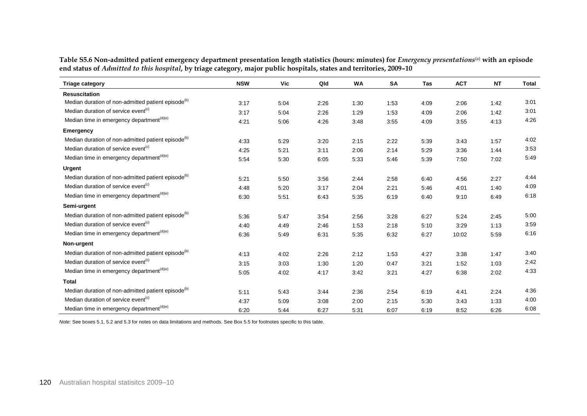**Table S5.6 Non-admitted patient emergency department presentation length statistics (hours: minutes) for** *Emergency presentations* (a) **with an episode end status of** *Admitted to this hospital***, by triage category, major public hospitals, states and territories, 2009–10**

| <b>Triage category</b>                                         | <b>NSW</b> | Vic  | Qld  | <b>WA</b> | <b>SA</b> | Tas  | <b>ACT</b> | <b>NT</b> | <b>Total</b> |
|----------------------------------------------------------------|------------|------|------|-----------|-----------|------|------------|-----------|--------------|
| <b>Resuscitation</b>                                           |            |      |      |           |           |      |            |           |              |
| Median duration of non-admitted patient episode <sup>(b)</sup> | 3:17       | 5:04 | 2:26 | 1:30      | 1:53      | 4:09 | 2:06       | 1:42      | 3:01         |
| Median duration of service event <sup>(c)</sup>                | 3:17       | 5:04 | 2:26 | 1:29      | 1:53      | 4:09 | 2:06       | 1:42      | 3:01         |
| Median time in emergency department <sup>(d)(e)</sup>          | 4:21       | 5:06 | 4:26 | 3:48      | 3:55      | 4:09 | 3:55       | 4:13      | 4:26         |
| <b>Emergency</b>                                               |            |      |      |           |           |      |            |           |              |
| Median duration of non-admitted patient episode <sup>(b)</sup> | 4:33       | 5:29 | 3:20 | 2:15      | 2:22      | 5:39 | 3:43       | 1:57      | 4:02         |
| Median duration of service event <sup>(c)</sup>                | 4:25       | 5:21 | 3:11 | 2:06      | 2:14      | 5:29 | 3:36       | 1:44      | 3:53         |
| Median time in emergency department <sup>(d)(e)</sup>          | 5:54       | 5:30 | 6:05 | 5:33      | 5.46      | 5:39 | 7:50       | 7:02      | 5:49         |
| <b>Urgent</b>                                                  |            |      |      |           |           |      |            |           |              |
| Median duration of non-admitted patient episode <sup>(b)</sup> | 5:21       | 5:50 | 3:56 | 2:44      | 2:58      | 6:40 | 4:56       | 2:27      | 4:44         |
| Median duration of service event <sup>(c)</sup>                | 4:48       | 5:20 | 3:17 | 2:04      | 2:21      | 5:46 | 4:01       | 1:40      | 4:09         |
| Median time in emergency department <sup>(d)(e)</sup>          | 6:30       | 5:51 | 6:43 | 5:35      | 6:19      | 6:40 | 9:10       | 6:49      | 6:18         |
| Semi-urgent                                                    |            |      |      |           |           |      |            |           |              |
| Median duration of non-admitted patient episode <sup>(b)</sup> | 5:36       | 5:47 | 3:54 | 2:56      | 3:28      | 6:27 | 5:24       | 2:45      | 5:00         |
| Median duration of service event <sup>(c)</sup>                | 4:40       | 4:49 | 2:46 | 1:53      | 2:18      | 5:10 | 3:29       | 1:13      | 3:59         |
| Median time in emergency department <sup>(d)(e)</sup>          | 6:36       | 5:49 | 6:31 | 5:35      | 6:32      | 6:27 | 10:02      | 5:59      | 6:16         |
| Non-urgent                                                     |            |      |      |           |           |      |            |           |              |
| Median duration of non-admitted patient episode <sup>(b)</sup> | 4:13       | 4:02 | 2:26 | 2:12      | 1:53      | 4:27 | 3:38       | 1:47      | 3:40         |
| Median duration of service event <sup>(c)</sup>                | 3:15       | 3:03 | 1:30 | 1:20      | 0:47      | 3:21 | 1:52       | 1:03      | 2:42         |
| Median time in emergency department <sup>(d)(e)</sup>          | 5:05       | 4:02 | 4:17 | 3:42      | 3:21      | 4:27 | 6:38       | 2:02      | 4:33         |
| <b>Total</b>                                                   |            |      |      |           |           |      |            |           |              |
| Median duration of non-admitted patient episode <sup>(b)</sup> | 5:11       | 5:43 | 3:44 | 2:36      | 2:54      | 6:19 | 4:41       | 2:24      | 4:36         |
| Median duration of service event <sup>(c)</sup>                | 4:37       | 5:09 | 3:08 | 2:00      | 2:15      | 5:30 | 3:43       | 1:33      | 4:00         |
| Median time in emergency department <sup>(d)(e)</sup>          | 6:20       | 5:44 | 6:27 | 5:31      | 6:07      | 6:19 | 8:52       | 6:26      | 6:08         |

*Note:* See boxes 5.1, 5.2 and 5.3 for notes on data limitations and methods. See Box 5.5 for footnotes specific to this table.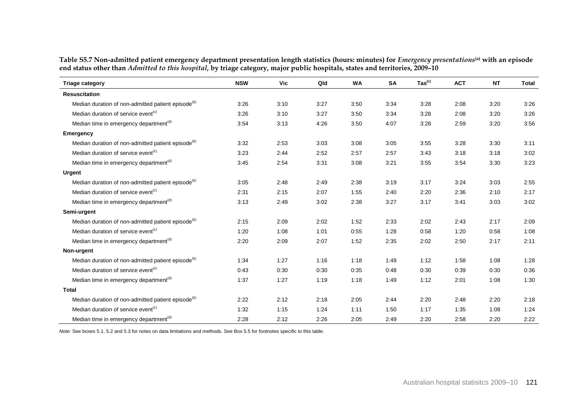| Table S5.7 Non-admitted patient emergency department presentation length statistics (hours: minutes) for <i>Emergency presentations</i> <sup>(a)</sup> with an episode |
|------------------------------------------------------------------------------------------------------------------------------------------------------------------------|
| end status other than Admitted to this hospital, by triage category, major public hospitals, states and territories, 2009-10                                           |

| <b>Triage category</b>                                         | <b>NSW</b> | Vic  | Qld  | <b>WA</b> | <b>SA</b> | $\mathsf{ Tas}^{\mathsf{(c)}}$ | <b>ACT</b> | ΝT   | Total |
|----------------------------------------------------------------|------------|------|------|-----------|-----------|--------------------------------|------------|------|-------|
| <b>Resuscitation</b>                                           |            |      |      |           |           |                                |            |      |       |
| Median duration of non-admitted patient episode <sup>(b)</sup> | 3:26       | 3:10 | 3:27 | 3:50      | 3:34      | 3:28                           | 2:08       | 3:20 | 3:26  |
| Median duration of service event <sup>(c)</sup>                | 3:26       | 3:10 | 3:27 | 3:50      | 3:34      | 3:28                           | 2:08       | 3:20 | 3:26  |
| Median time in emergency department <sup>(d)</sup>             | 3:54       | 3:13 | 4:26 | 3:50      | 4:07      | 3:28                           | 2:59       | 3:20 | 3:56  |
| Emergency                                                      |            |      |      |           |           |                                |            |      |       |
| Median duration of non-admitted patient episode <sup>(b)</sup> | 3:32       | 2:53 | 3:03 | 3:08      | 3:05      | 3:55                           | 3:28       | 3:30 | 3:11  |
| Median duration of service event <sup>(c)</sup>                | 3:23       | 2:44 | 2:52 | 2:57      | 2:57      | 3:43                           | 3:18       | 3:18 | 3:02  |
| Median time in emergency department <sup>(d)</sup>             | 3:45       | 2:54 | 3:31 | 3:08      | 3:21      | 3:55                           | 3:54       | 3:30 | 3:23  |
| <b>Urgent</b>                                                  |            |      |      |           |           |                                |            |      |       |
| Median duration of non-admitted patient episode <sup>(b)</sup> | 3:05       | 2:48 | 2:49 | 2:38      | 3:19      | 3:17                           | 3:24       | 3:03 | 2:55  |
| Median duration of service event <sup>(c)</sup>                | 2:31       | 2:15 | 2:07 | 1:55      | 2:40      | 2:20                           | 2:36       | 2:10 | 2:17  |
| Median time in emergency department <sup>(d)</sup>             | 3:13       | 2:49 | 3:02 | 2:38      | 3:27      | 3:17                           | 3:41       | 3:03 | 3:02  |
| Semi-urgent                                                    |            |      |      |           |           |                                |            |      |       |
| Median duration of non-admitted patient episode <sup>(b)</sup> | 2:15       | 2:09 | 2:02 | 1:52      | 2:33      | 2:02                           | 2:43       | 2:17 | 2:09  |
| Median duration of service event <sup>(c)</sup>                | 1:20       | 1:08 | 1:01 | 0:55      | 1:28      | 0:58                           | 1:20       | 0:58 | 1:08  |
| Median time in emergency department <sup>(d)</sup>             | 2:20       | 2:09 | 2:07 | 1:52      | 2:35      | 2:02                           | 2:50       | 2:17 | 2:11  |
| Non-urgent                                                     |            |      |      |           |           |                                |            |      |       |
| Median duration of non-admitted patient episode <sup>(b)</sup> | 1:34       | 1:27 | 1:16 | 1:18      | 1:49      | 1:12                           | 1:58       | 1:08 | 1:28  |
| Median duration of service event <sup>(c)</sup>                | 0:43       | 0:30 | 0:30 | 0:35      | 0:48      | 0:30                           | 0:39       | 0:30 | 0:36  |
| Median time in emergency department <sup>(d)</sup>             | 1:37       | 1:27 | 1:19 | 1:18      | 1:49      | 1:12                           | 2:01       | 1:08 | 1:30  |
| <b>Total</b>                                                   |            |      |      |           |           |                                |            |      |       |
| Median duration of non-admitted patient episode <sup>(b)</sup> | 2:22       | 2:12 | 2:18 | 2:05      | 2:44      | 2:20                           | 2:48       | 2:20 | 2:18  |
| Median duration of service event <sup>(c)</sup>                | 1:32       | 1:15 | 1:24 | 1:11      | 1:50      | 1:17                           | 1:35       | 1:08 | 1:24  |
| Median time in emergency department <sup>(d)</sup>             | 2:28       | 2:12 | 2:26 | 2:05      | 2:49      | 2:20                           | 2:58       | 2:20 | 2:22  |

*Note:* See boxes 5.1, 5.2 and 5.3 for notes on data limitations and methods. See Box 5.5 for footnotes specific to this table.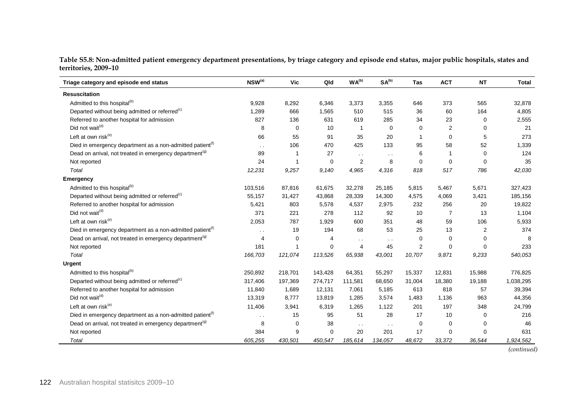**Table S5.8: Non-admitted patient emergency department presentations, by triage category and episode end status, major public hospitals, states and territories, 2009–10**

| Triage category and episode end status                                | $NSW^{(a)}$          | Vic         | Qld      | WA <sup>(b)</sup> | SA <sup>(b)</sup>    | <b>Tas</b>     | <b>ACT</b>     | <b>NT</b>   | <b>Total</b> |
|-----------------------------------------------------------------------|----------------------|-------------|----------|-------------------|----------------------|----------------|----------------|-------------|--------------|
| <b>Resuscitation</b>                                                  |                      |             |          |                   |                      |                |                |             |              |
| Admitted to this hospital <sup>(b)</sup>                              | 9,928                | 8,292       | 6.346    | 3,373             | 3,355                | 646            | 373            | 565         | 32,878       |
| Departed without being admitted or referred <sup>(c)</sup>            | 1,289                | 666         | 1,565    | 510               | 515                  | 36             | 60             | 164         | 4,805        |
| Referred to another hospital for admission                            | 827                  | 136         | 631      | 619               | 285                  | 34             | 23             | 0           | 2,555        |
| Did not wait <sup>(d)</sup>                                           | 8                    | $\mathbf 0$ | 10       | $\mathbf{1}$      | 0                    | 0              | $\overline{2}$ | 0           | 21           |
| Left at own risk <sup>(e)</sup>                                       | 66                   | 55          | 91       | 35                | 20                   | -1             | $\mathbf 0$    | 5           | 273          |
| Died in emergency department as a non-admitted patient <sup>(f)</sup> | $\sim$ $\sim$        | 106         | 470      | 425               | 133                  | 95             | 58             | 52          | 1,339        |
| Dead on arrival, not treated in emergency department <sup>(g)</sup>   | 89                   |             | 27       | $\sim$ $\sim$     | $\ddot{\phantom{a}}$ | 6              | 1              | $\mathbf 0$ | 124          |
| Not reported                                                          | 24                   | -1          | 0        | $\overline{2}$    | 8                    | $\mathbf 0$    | $\mathbf 0$    | $\Omega$    | 35           |
| Total                                                                 | 12,231               | 9,257       | 9,140    | 4,965             | 4,316                | 818            | 517            | 786         | 42,030       |
| <b>Emergency</b>                                                      |                      |             |          |                   |                      |                |                |             |              |
| Admitted to this hospital <sup>(b)</sup>                              | 103,516              | 87,816      | 61,675   | 32,278            | 25,185               | 5,815          | 5,467          | 5,671       | 327,423      |
| Departed without being admitted or referred <sup>(c)</sup>            | 55,157               | 31,427      | 43,868   | 28,339            | 14,300               | 4,575          | 4,069          | 3,421       | 185,156      |
| Referred to another hospital for admission                            | 5,421                | 803         | 5,578    | 4,537             | 2,975                | 232            | 256            | 20          | 19,822       |
| Did not wait <sup>(d)</sup>                                           | 371                  | 221         | 278      | 112               | 92                   | 10             | 7              | 13          | 1,104        |
| Left at own risk <sup>(e)</sup>                                       | 2,053                | 787         | 1,929    | 600               | 351                  | 48             | 59             | 106         | 5,933        |
| Died in emergency department as a non-admitted patient <sup>(f)</sup> | $\ddot{\phantom{a}}$ | 19          | 194      | 68                | 53                   | 25             | 13             | 2           | 374          |
| Dead on arrival, not treated in emergency department <sup>(g)</sup>   | 4                    | 0           | 4        | $\sim$ $\sim$     | $\ddot{\phantom{a}}$ | $\mathbf 0$    | $\Omega$       | $\Omega$    | 8            |
| Not reported                                                          | 181                  | -1          | 0        | 4                 | 45                   | $\overline{2}$ | 0              | $\Omega$    | 233          |
| Total                                                                 | 166,703              | 121,074     | 113,526  | 65,938            | 43,001               | 10,707         | 9,871          | 9,233       | 540,053      |
| <b>Urgent</b>                                                         |                      |             |          |                   |                      |                |                |             |              |
| Admitted to this hospital <sup>(b)</sup>                              | 250,892              | 218,701     | 143,428  | 64,351            | 55,297               | 15,337         | 12,831         | 15,988      | 776,825      |
| Departed without being admitted or referred <sup>(c)</sup>            | 317,406              | 197,369     | 274,717  | 111,581           | 68,650               | 31,004         | 18,380         | 19,188      | 1,038,295    |
| Referred to another hospital for admission                            | 11,840               | 1,689       | 12,131   | 7,061             | 5,185                | 613            | 818            | 57          | 39,394       |
| Did not wait <sup>(d)</sup>                                           | 13,319               | 8,777       | 13,819   | 1,285             | 3,574                | 1,483          | 1,136          | 963         | 44,356       |
| Left at own risk $(e)$                                                | 11,406               | 3,941       | 6,319    | 1,265             | 1,122                | 201            | 197            | 348         | 24,799       |
| Died in emergency department as a non-admitted patient <sup>(f)</sup> | $\sim$ $\sim$        | 15          | 95       | 51                | 28                   | 17             | 10             | 0           | 216          |
| Dead on arrival, not treated in emergency department <sup>(g)</sup>   | 8                    | 0           | 38       | $\sim$ $\sim$     | $\sim$ $\sim$        | 0              | 0              | 0           | 46           |
| Not reported                                                          | 384                  | 9           | $\Omega$ | 20                | 201                  | 17             | $\Omega$       | $\Omega$    | 631          |
| Total                                                                 | 605,255              | 430,501     | 450,547  | 185,614           | 134,057              | 48,672         | 33,372         | 36,544      | 1,924,562    |